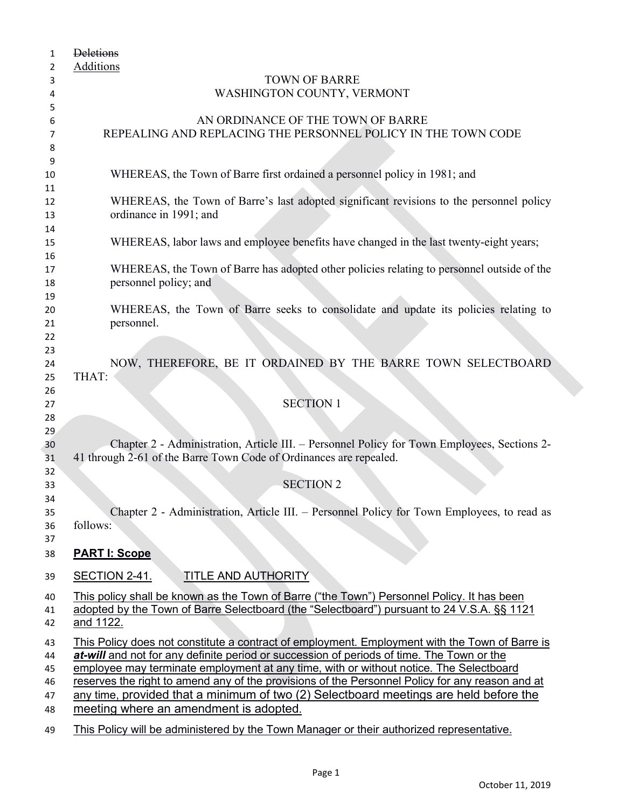| 1        | <b>Deletions</b>                                                                                |
|----------|-------------------------------------------------------------------------------------------------|
| 2        | Additions                                                                                       |
| 3        | <b>TOWN OF BARRE</b>                                                                            |
| 4        | WASHINGTON COUNTY, VERMONT                                                                      |
| 5        |                                                                                                 |
| 6        | AN ORDINANCE OF THE TOWN OF BARRE                                                               |
| 7        | REPEALING AND REPLACING THE PERSONNEL POLICY IN THE TOWN CODE                                   |
| 8        |                                                                                                 |
| 9        |                                                                                                 |
| 10       | WHEREAS, the Town of Barre first ordained a personnel policy in 1981; and                       |
| 11       |                                                                                                 |
| 12       | WHEREAS, the Town of Barre's last adopted significant revisions to the personnel policy         |
| 13       | ordinance in 1991; and                                                                          |
| 14       |                                                                                                 |
| 15       | WHEREAS, labor laws and employee benefits have changed in the last twenty-eight years;          |
| 16       |                                                                                                 |
| 17       | WHEREAS, the Town of Barre has adopted other policies relating to personnel outside of the      |
| 18       | personnel policy; and                                                                           |
| 19<br>20 | WHEREAS, the Town of Barre seeks to consolidate and update its policies relating to             |
| 21       | personnel.                                                                                      |
| 22       |                                                                                                 |
| 23       |                                                                                                 |
| 24       | NOW, THEREFORE, BE IT ORDAINED BY THE BARRE TOWN SELECTBOARD                                    |
| 25       | THAT:                                                                                           |
| 26       |                                                                                                 |
| 27       | <b>SECTION 1</b>                                                                                |
| 28       |                                                                                                 |
| 29       |                                                                                                 |
| 30       | Chapter 2 - Administration, Article III. – Personnel Policy for Town Employees, Sections 2-     |
| 31       | 41 through 2-61 of the Barre Town Code of Ordinances are repealed.                              |
| 32       |                                                                                                 |
| 33       | <b>SECTION 2</b>                                                                                |
| 34       |                                                                                                 |
| 35       | Chapter 2 - Administration, Article III. - Personnel Policy for Town Employees, to read as      |
| 36       | follows:                                                                                        |
| 37       |                                                                                                 |
| 38       | <b>PART I: Scope</b>                                                                            |
| 39       | <b>SECTION 2-41.</b><br>TITLE AND AUTHORITY                                                     |
| 40       | This policy shall be known as the Town of Barre ("the Town") Personnel Policy. It has been      |
| 41       | adopted by the Town of Barre Selectboard (the "Selectboard") pursuant to 24 V.S.A. §§ 1121      |
| 42       | and 1122.                                                                                       |
| 43       | This Policy does not constitute a contract of employment. Employment with the Town of Barre is  |
| 44       | at-will and not for any definite period or succession of periods of time. The Town or the       |
| 45       | employee may terminate employment at any time, with or without notice. The Selectboard          |
| 46       | reserves the right to amend any of the provisions of the Personnel Policy for any reason and at |
| 47       | any time, provided that a minimum of two (2) Selectboard meetings are held before the           |
| 48       | meeting where an amendment is adopted.                                                          |
| 49       | This Policy will be administered by the Town Manager or their authorized representative.        |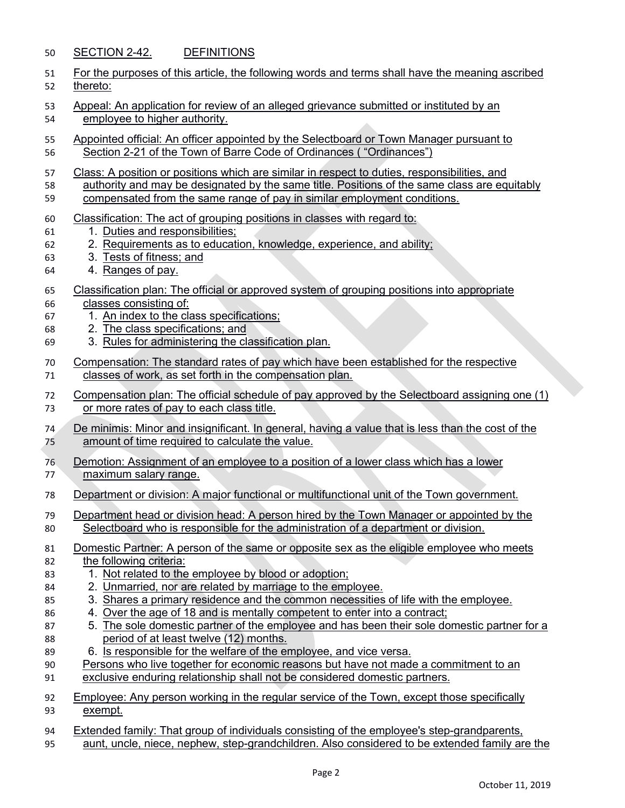#### SECTION 2-42. DEFINITIONS

| 51 For the purposes of this article, the following words and terms shall have the meaning ascribed |  |
|----------------------------------------------------------------------------------------------------|--|
| 52 thereto:                                                                                        |  |

- 53 Appeal: An application for review of an alleged grievance submitted or instituted by an employee to higher authority.
- Appointed official: An officer appointed by the Selectboard or Town Manager pursuant to Section 2-21 of the Town of Barre Code of Ordinances ( "Ordinances")
- Class: A position or positions which are similar in respect to duties, responsibilities, and
- authority and may be designated by the same title. Positions of the same class are equitably compensated from the same range of pay in similar employment conditions.
- Classification: The act of grouping positions in classes with regard to:
- 61 1. Duties and responsibilities;
- 2. Requirements as to education, knowledge, experience, and ability;
- 3. Tests of fitness; and
- 4. Ranges of pay.
- Classification plan: The official or approved system of grouping positions into appropriate
- classes consisting of:
- 1. An index to the class specifications;
- 2. The class specifications; and
- 3. Rules for administering the classification plan.
- Compensation: The standard rates of pay which have been established for the respective classes of work, as set forth in the compensation plan.
- Compensation plan: The official schedule of pay approved by the Selectboard assigning one (1) or more rates of pay to each class title.
- De minimis: Minor and insignificant. In general, having a value that is less than the cost of the amount of time required to calculate the value.
- Demotion: Assignment of an employee to a position of a lower class which has a lower maximum salary range.
- Department or division: A major functional or multifunctional unit of the Town government.
- Department head or division head: A person hired by the Town Manager or appointed by the Selectboard who is responsible for the administration of a department or division.
- Domestic Partner: A person of the same or opposite sex as the eligible employee who meets 82 the following criteria:
- 1. Not related to the employee by blood or adoption;
- 2. Unmarried, nor are related by marriage to the employee.
- 3. Shares a primary residence and the common necessities of life with the employee.
- 4. Over the age of 18 and is mentally competent to enter into a contract;
- 5. The sole domestic partner of the employee and has been their sole domestic partner for a period of at least twelve (12) months.
- 89 6. Is responsible for the welfare of the employee, and vice versa.
- Persons who live together for economic reasons but have not made a commitment to an
- exclusive enduring relationship shall not be considered domestic partners.

 Employee: Any person working in the regular service of the Town, except those specifically exempt.

 Extended family: That group of individuals consisting of the employee's step-grandparents, aunt, uncle, niece, nephew, step-grandchildren. Also considered to be extended family are the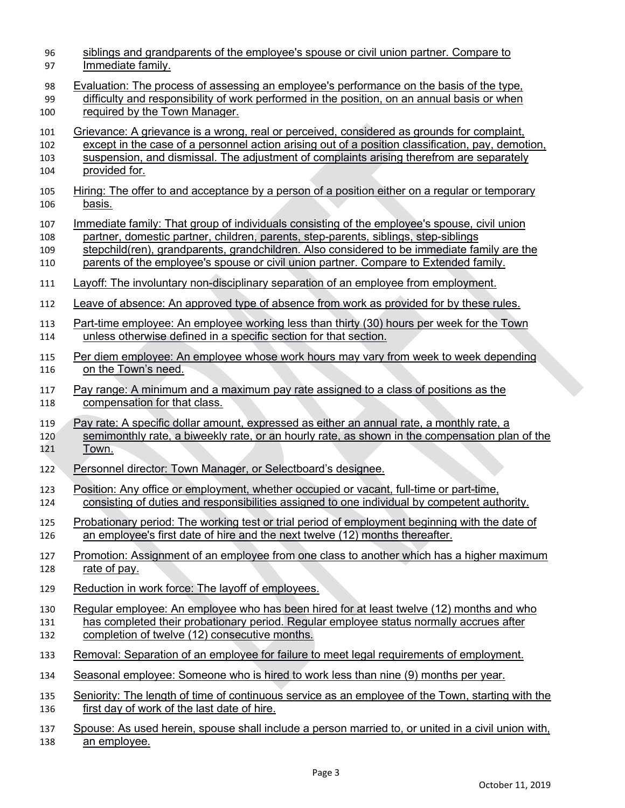| 96  | siblings and grandparents of the employee's spouse or civil union partner. Compare to              |
|-----|----------------------------------------------------------------------------------------------------|
| 97  | Immediate family.                                                                                  |
| 98  | Evaluation: The process of assessing an employee's performance on the basis of the type,           |
| 99  | difficulty and responsibility of work performed in the position, on an annual basis or when        |
| 100 | required by the Town Manager.                                                                      |
| 101 | Grievance: A grievance is a wrong, real or perceived, considered as grounds for complaint,         |
| 102 | except in the case of a personnel action arising out of a position classification, pay, demotion,  |
| 103 | suspension, and dismissal. The adjustment of complaints arising therefrom are separately           |
| 104 | provided for.                                                                                      |
| 105 | Hiring: The offer to and acceptance by a person of a position either on a regular or temporary     |
| 106 | <u>basis.</u>                                                                                      |
| 107 | Immediate family: That group of individuals consisting of the employee's spouse, civil union       |
| 108 | partner, domestic partner, children, parents, step-parents, siblings, step-siblings                |
| 109 | stepchild(ren), grandparents, grandchildren. Also considered to be immediate family are the        |
| 110 | parents of the employee's spouse or civil union partner. Compare to Extended family.               |
| 111 | Layoff: The involuntary non-disciplinary separation of an employee from employment.                |
| 112 | Leave of absence: An approved type of absence from work as provided for by these rules.            |
| 113 | Part-time employee: An employee working less than thirty (30) hours per week for the Town          |
| 114 | unless otherwise defined in a specific section for that section.                                   |
| 115 | Per diem employee: An employee whose work hours may vary from week to week depending               |
| 116 | on the Town's need.                                                                                |
| 117 | Pay range: A minimum and a maximum pay rate assigned to a class of positions as the                |
| 118 | compensation for that class.                                                                       |
| 119 | Pay rate: A specific dollar amount, expressed as either an annual rate, a monthly rate, a          |
| 120 | semimonthly rate, a biweekly rate, or an hourly rate, as shown in the compensation plan of the     |
| 121 | <u>Town.</u>                                                                                       |
| 122 | Personnel director: Town Manager, or Selectboard's designee.                                       |
| 123 | Position: Any office or employment, whether occupied or vacant, full-time or part-time,            |
| 124 | consisting of duties and responsibilities assigned to one individual by competent authority.       |
| 125 | Probationary period: The working test or trial period of employment beginning with the date of     |
| 126 | an employee's first date of hire and the next twelve (12) months thereafter.                       |
| 127 | Promotion: Assignment of an employee from one class to another which has a higher maximum          |
| 128 | rate of pay.                                                                                       |
| 129 | Reduction in work force: The layoff of employees.                                                  |
| 130 | Regular employee: An employee who has been hired for at least twelve (12) months and who           |
| 131 | has completed their probationary period. Regular employee status normally accrues after            |
| 132 | completion of twelve (12) consecutive months.                                                      |
| 133 | Removal: Separation of an employee for failure to meet legal requirements of employment.           |
| 134 | Seasonal employee: Someone who is hired to work less than nine (9) months per year.                |
| 135 | Seniority: The length of time of continuous service as an employee of the Town, starting with the  |
| 136 | first day of work of the last date of hire.                                                        |
| 137 | Spouse: As used herein, spouse shall include a person married to, or united in a civil union with, |
| 120 | an amnlovee                                                                                        |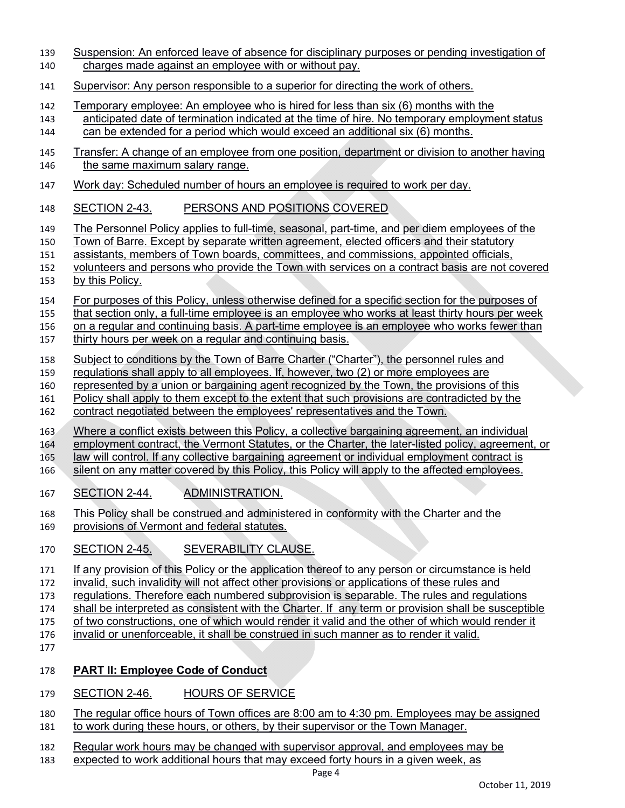- Suspension: An enforced leave of absence for disciplinary purposes or pending investigation of charges made against an employee with or without pay.
- Supervisor: Any person responsible to a superior for directing the work of others.
- Temporary employee: An employee who is hired for less than six (6) months with the
- anticipated date of termination indicated at the time of hire. No temporary employment status can be extended for a period which would exceed an additional six (6) months.
- Transfer: A change of an employee from one position, department or division to another having 146 the same maximum salary range.
- Work day: Scheduled number of hours an employee is required to work per day.
- SECTION 2-43. PERSONS AND POSITIONS COVERED
- The Personnel Policy applies to full-time, seasonal, part-time, and per diem employees of the
- Town of Barre. Except by separate written agreement, elected officers and their statutory
- assistants, members of Town boards, committees, and commissions, appointed officials,
- volunteers and persons who provide the Town with services on a contract basis are not covered by this Policy.
- For purposes of this Policy, unless otherwise defined for a specific section for the purposes of
- that section only, a full-time employee is an employee who works at least thirty hours per week
- on a regular and continuing basis. A part-time employee is an employee who works fewer than
- thirty hours per week on a regular and continuing basis.
- Subject to conditions by the Town of Barre Charter ("Charter"), the personnel rules and
- regulations shall apply to all employees. If, however, two (2) or more employees are
- represented by a union or bargaining agent recognized by the Town, the provisions of this
- Policy shall apply to them except to the extent that such provisions are contradicted by the
- contract negotiated between the employees' representatives and the Town.
- 163 Where a conflict exists between this Policy, a collective bargaining agreement, an individual
- employment contract, the Vermont Statutes, or the Charter, the later-listed policy, agreement, or
- law will control. If any collective bargaining agreement or individual employment contract is
- silent on any matter covered by this Policy, this Policy will apply to the affected employees.
- SECTION 2-44. ADMINISTRATION.

This Policy shall be construed and administered in conformity with the Charter and the

- provisions of Vermont and federal statutes.
- SECTION 2-45. SEVERABILITY CLAUSE.
- 171 If any provision of this Policy or the application thereof to any person or circumstance is held
- invalid, such invalidity will not affect other provisions or applications of these rules and
- regulations. Therefore each numbered subprovision is separable. The rules and regulations
- shall be interpreted as consistent with the Charter. If any term or provision shall be susceptible
- of two constructions, one of which would render it valid and the other of which would render it
- invalid or unenforceable, it shall be construed in such manner as to render it valid.
- 

#### **PART II: Employee Code of Conduct**

- SECTION 2-46. HOURS OF SERVICE
- The regular office hours of Town offices are 8:00 am to 4:30 pm. Employees may be assigned to work during these hours, or others, by their supervisor or the Town Manager.
- 182 Regular work hours may be changed with supervisor approval, and employees may be
- expected to work additional hours that may exceed forty hours in a given week, as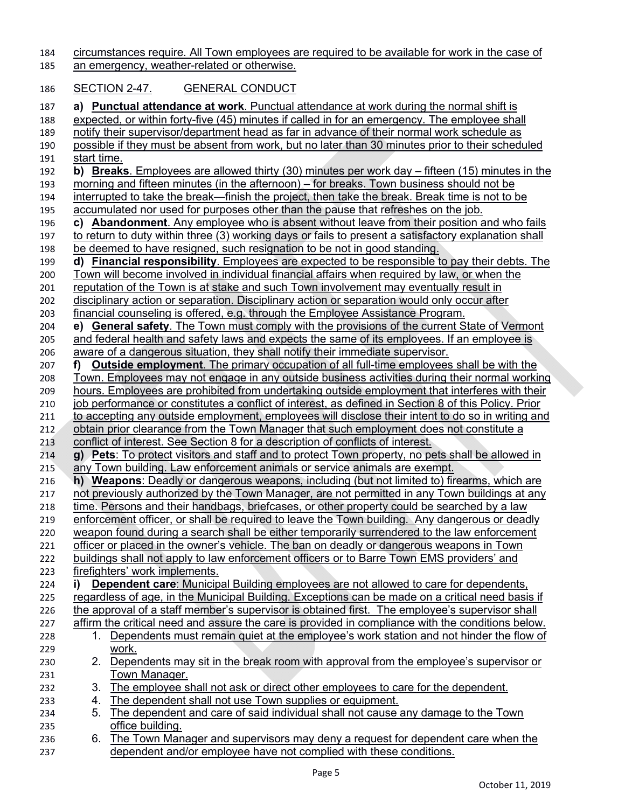184 circumstances require. All Town employees are required to be available for work in the case of

185 an emergency, weather-related or otherwise.

### 186 SECTION 2-47. GENERAL CONDUCT

| 187 |                    | a) Punctual attendance at work. Punctual attendance at work during the normal shift is                      |
|-----|--------------------|-------------------------------------------------------------------------------------------------------------|
| 188 |                    | expected, or within forty-five (45) minutes if called in for an emergency. The employee shall               |
| 189 |                    | notify their supervisor/department head as far in advance of their normal work schedule as                  |
| 190 |                    | possible if they must be absent from work, but no later than 30 minutes prior to their scheduled            |
| 191 | <u>start time.</u> |                                                                                                             |
| 192 |                    | b) Breaks. Employees are allowed thirty (30) minutes per work day $-$ fifteen (15) minutes in the           |
| 193 |                    | morning and fifteen minutes (in the afternoon) – for breaks. Town business should not be                    |
| 194 |                    | interrupted to take the break—finish the project, then take the break. Break time is not to be              |
| 195 |                    | accumulated nor used for purposes other than the pause that refreshes on the job.                           |
| 196 |                    | c) Abandonment. Any employee who is absent without leave from their position and who fails                  |
| 197 |                    | to return to duty within three (3) working days or fails to present a satisfactory explanation shall        |
| 198 |                    | be deemed to have resigned, such resignation to be not in good standing.                                    |
| 199 |                    | d) Financial responsibility. Employees are expected to be responsible to pay their debts. The               |
| 200 |                    | <u>Town will become involved in individual financial affairs when required by law, or when the</u>          |
| 201 |                    | reputation of the Town is at stake and such Town involvement may eventually result in                       |
| 202 |                    | disciplinary action or separation. Disciplinary action or separation would only occur after                 |
| 203 |                    | financial counseling is offered, e.g. through the Employee Assistance Program.                              |
| 204 | e) -               | <b>General safety.</b> The Town must comply with the provisions of the current State of Vermont             |
| 205 |                    | and federal health and safety laws and expects the same of its employees. If an employee is                 |
| 206 |                    | aware of a dangerous situation, they shall notify their immediate supervisor.                               |
| 207 | f)                 | <b>Outside employment.</b> The primary occupation of all full-time employees shall be with the              |
|     |                    | Town. Employees may not engage in any outside business activities during their normal working               |
| 208 |                    |                                                                                                             |
| 209 |                    | hours. Employees are prohibited from undertaking outside employment that interferes with their              |
| 210 |                    | <u>job performance or constitutes a conflict of interest, as defined in Section 8 of this Policy. Prior</u> |
| 211 |                    | to accepting any outside employment, employees will disclose their intent to do so in writing and           |
| 212 |                    | obtain prior clearance from the Town Manager that such employment does not constitute a                     |
| 213 |                    | conflict of interest. See Section 8 for a description of conflicts of interest.                             |
| 214 |                    | g) Pets: To protect visitors and staff and to protect Town property, no pets shall be allowed in            |
| 215 |                    | any Town building. Law enforcement animals or service animals are exempt.                                   |
| 216 |                    | h) Weapons: Deadly or dangerous weapons, including (but not limited to) firearms, which are                 |
| 217 |                    | not previously authorized by the Town Manager, are not permitted in any Town buildings at any               |
| 218 |                    | <u>time. Persons and their handbags, briefcases, or other property could be searched by a law</u>           |
| 219 |                    | enforcement officer, or shall be required to leave the Town building. Any dangerous or deadly               |
| 220 |                    | weapon found during a search shall be either temporarily surrendered to the law enforcement                 |
| 221 |                    | officer or placed in the owner's vehicle. The ban on deadly or dangerous weapons in Town                    |
| 222 |                    | buildings shall not apply to law enforcement officers or to Barre Town EMS providers' and                   |
| 223 |                    | firefighters' work implements.                                                                              |
| 224 | i)                 | <b>Dependent care:</b> Municipal Building employees are not allowed to care for dependents,                 |
| 225 |                    | regardless of age, in the Municipal Building. Exceptions can be made on a critical need basis if            |
| 226 |                    | the approval of a staff member's supervisor is obtained first. The employee's supervisor shall              |
| 227 |                    | affirm the critical need and assure the care is provided in compliance with the conditions below.           |
| 228 | 1.                 | Dependents must remain quiet at the employee's work station and not hinder the flow of                      |
| 229 |                    | work.                                                                                                       |
| 230 | 2.                 | Dependents may sit in the break room with approval from the employee's supervisor or                        |
| 231 |                    | Town Manager.                                                                                               |
| 232 | 3.                 | The employee shall not ask or direct other employees to care for the dependent.                             |
| 233 | 4.                 | The dependent shall not use Town supplies or equipment.                                                     |
| 234 | 5.                 | The dependent and care of said individual shall not cause any damage to the Town                            |
| 235 |                    | office building.                                                                                            |
| 236 | 6.                 | The Town Manager and supervisors may deny a request for dependent care when the                             |
| 237 |                    | dependent and/or employee have not complied with these conditions.                                          |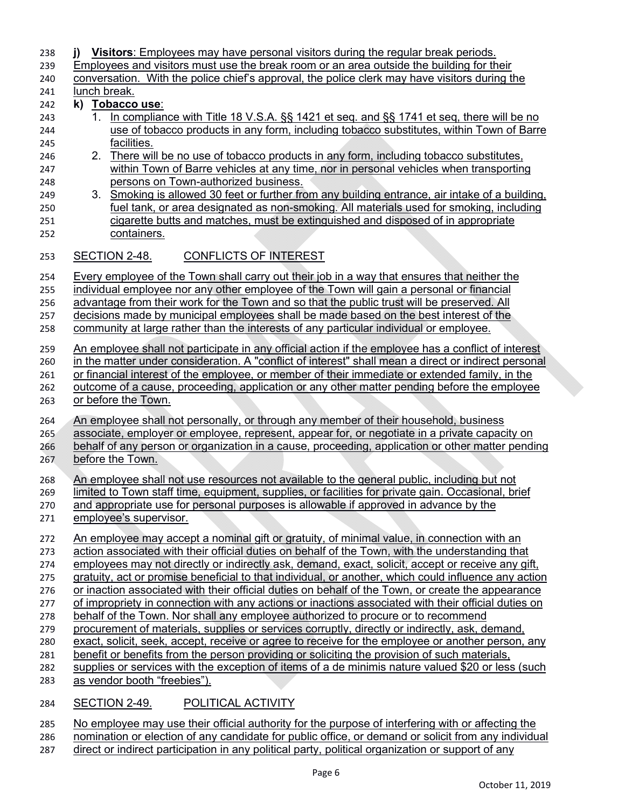| 238<br>239 | Visitors: Employees may have personal visitors during the regular break periods.<br>i)<br>Employees and visitors must use the break room or an area outside the building for their                  |
|------------|-----------------------------------------------------------------------------------------------------------------------------------------------------------------------------------------------------|
| 240        | conversation. With the police chief's approval, the police clerk may have visitors during the                                                                                                       |
| 241<br>242 | lunch break.<br>k)<br>Tobacco use:                                                                                                                                                                  |
| 243        | In compliance with Title 18 V.S.A. §§ 1421 et seq. and §§ 1741 et seq, there will be no<br>1.                                                                                                       |
| 244        | use of tobacco products in any form, including tobacco substitutes, within Town of Barre                                                                                                            |
| 245        | facilities.                                                                                                                                                                                         |
| 246        | 2. There will be no use of tobacco products in any form, including tobacco substitutes,                                                                                                             |
| 247        | within Town of Barre vehicles at any time, nor in personal vehicles when transporting                                                                                                               |
| 248        | persons on Town-authorized business.                                                                                                                                                                |
| 249        | 3. Smoking is allowed 30 feet or further from any building entrance, air intake of a building,                                                                                                      |
| 250        | fuel tank, or area designated as non-smoking. All materials used for smoking, including                                                                                                             |
| 251<br>252 | cigarette butts and matches, must be extinguished and disposed of in appropriate<br>containers.                                                                                                     |
|            |                                                                                                                                                                                                     |
| 253        | SECTION 2-48.<br><b>CONFLICTS OF INTEREST</b>                                                                                                                                                       |
| 254        | Every employee of the Town shall carry out their job in a way that ensures that neither the                                                                                                         |
| 255        | individual employee nor any other employee of the Town will gain a personal or financial                                                                                                            |
| 256        | advantage from their work for the Town and so that the public trust will be preserved. All                                                                                                          |
| 257<br>258 | decisions made by municipal employees shall be made based on the best interest of the<br>community at large rather than the interests of any particular individual or employee.                     |
|            |                                                                                                                                                                                                     |
| 259        | An employee shall not participate in any official action if the employee has a conflict of interest                                                                                                 |
| 260        | in the matter under consideration. A "conflict of interest" shall mean a direct or indirect personal                                                                                                |
| 261        | or financial interest of the employee, or member of their immediate or extended family, in the                                                                                                      |
| 262<br>263 | outcome of a cause, proceeding, application or any other matter pending before the employee<br>or before the Town.                                                                                  |
|            |                                                                                                                                                                                                     |
| 264        | An employee shall not personally, or through any member of their household, business                                                                                                                |
| 265        | associate, employer or employee, represent, appear for, or negotiate in a private capacity on                                                                                                       |
| 266        | behalf of any person or organization in a cause, proceeding, application or other matter pending                                                                                                    |
| 267        | before the Town.                                                                                                                                                                                    |
| 268        | An employee shall not use resources not available to the general public, including but not                                                                                                          |
| 269        | limited to Town staff time, equipment, supplies, or facilities for private gain. Occasional, brief                                                                                                  |
| 270        | and appropriate use for personal purposes is allowable if approved in advance by the                                                                                                                |
| 271        | employee's supervisor.                                                                                                                                                                              |
| 272        | An employee may accept a nominal gift or gratuity, of minimal value, in connection with an                                                                                                          |
| 273        | action associated with their official duties on behalf of the Town, with the understanding that                                                                                                     |
| 274        | employees may not directly or indirectly ask, demand, exact, solicit, accept or receive any gift,                                                                                                   |
| 275        | gratuity, act or promise beneficial to that individual, or another, which could influence any action                                                                                                |
| 276        | or inaction associated with their official duties on behalf of the Town, or create the appearance                                                                                                   |
| 277        | of impropriety in connection with any actions or inactions associated with their official duties on                                                                                                 |
| 278        | behalf of the Town. Nor shall any employee authorized to procure or to recommend                                                                                                                    |
| 279<br>280 | procurement of materials, supplies or services corruptly, directly or indirectly, ask, demand,<br>exact, solicit, seek, accept, receive or agree to receive for the employee or another person, any |
| 281        | benefit or benefits from the person providing or soliciting the provision of such materials,                                                                                                        |
| 282        | supplies or services with the exception of items of a de minimis nature valued \$20 or less (such                                                                                                   |
| 283        | as vendor booth "freebies").                                                                                                                                                                        |
| 284        | SECTION 2-49.<br>POLITICAL ACTIVITY                                                                                                                                                                 |

285 No employee may use their official authority for the purpose of interfering with or affecting the 286 nomination or election of any candidate for public office, or demand or solicit from any individual

287 direct or indirect participation in any political party, political organization or support of any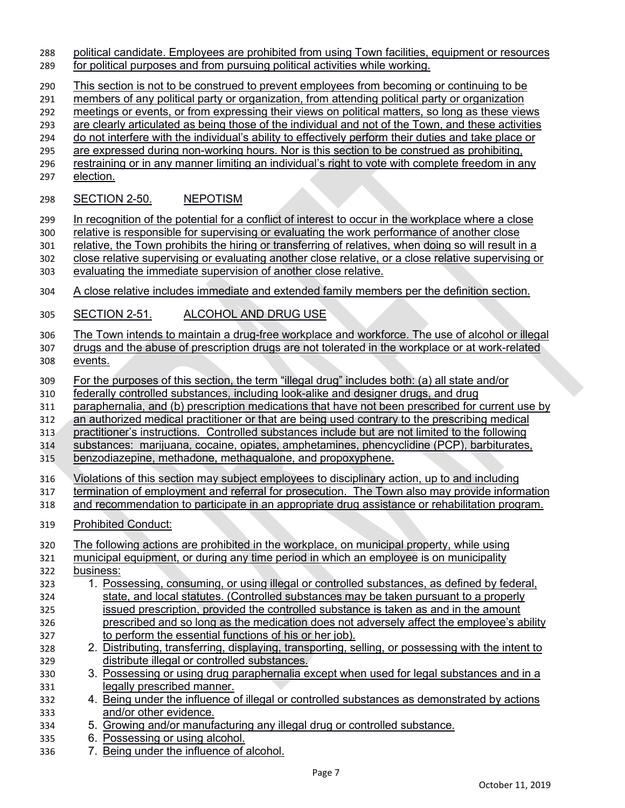- political candidate. Employees are prohibited from using Town facilities, equipment or resources
- for political purposes and from pursuing political activities while working.
- This section is not to be construed to prevent employees from becoming or continuing to be
- members of any political party or organization, from attending political party or organization
- 292 meetings or events, or from expressing their views on political matters, so long as these views
- are clearly articulated as being those of the individual and not of the Town, and these activities do not interfere with the individual's ability to effectively perform their duties and take place or
- are expressed during non-working hours. Nor is this section to be construed as prohibiting,
- 296 restraining or in any manner limiting an individual's right to vote with complete freedom in any
- election.

### SECTION 2-50. NEPOTISM

In recognition of the potential for a conflict of interest to occur in the workplace where a close

relative is responsible for supervising or evaluating the work performance of another close

relative, the Town prohibits the hiring or transferring of relatives, when doing so will result in a

- close relative supervising or evaluating another close relative, or a close relative supervising or
- evaluating the immediate supervision of another close relative.
- 304 A close relative includes immediate and extended family members per the definition section.
- SECTION 2-51. ALCOHOL AND DRUG USE
- The Town intends to maintain a drug-free workplace and workforce. The use of alcohol or illegal
- drugs and the abuse of prescription drugs are not tolerated in the workplace or at work-related events.
- For the purposes of this section, the term "illegal drug" includes both: (a) all state and/or
- federally controlled substances, including look-alike and designer drugs, and drug
- paraphernalia, and (b) prescription medications that have not been prescribed for current use by
- an authorized medical practitioner or that are being used contrary to the prescribing medical
- practitioner's instructions. Controlled substances include but are not limited to the following
- substances: marijuana, cocaine, opiates, amphetamines, phencyclidine (PCP), barbiturates,
- benzodiazepine, methadone, methaqualone, and propoxyphene.
- Violations of this section may subject employees to disciplinary action, up to and including
- termination of employment and referral for prosecution. The Town also may provide information
- 318 and recommendation to participate in an appropriate drug assistance or rehabilitation program.
- Prohibited Conduct:
- The following actions are prohibited in the workplace, on municipal property, while using
- municipal equipment, or during any time period in which an employee is on municipality business:
- 1. Possessing, consuming, or using illegal or controlled substances, as defined by federal, state, and local statutes. (Controlled substances may be taken pursuant to a properly
- issued prescription, provided the controlled substance is taken as and in the amount
- prescribed and so long as the medication does not adversely affect the employee's ability to perform the essential functions of his or her job).
- 2. Distributing, transferring, displaying, transporting, selling, or possessing with the intent to distribute illegal or controlled substances.
- 3. Possessing or using drug paraphernalia except when used for legal substances and in a legally prescribed manner.
- 4. Being under the influence of illegal or controlled substances as demonstrated by actions and/or other evidence.
- 5. Growing and/or manufacturing any illegal drug or controlled substance.
- 6. Possessing or using alcohol.
- 7. Being under the influence of alcohol.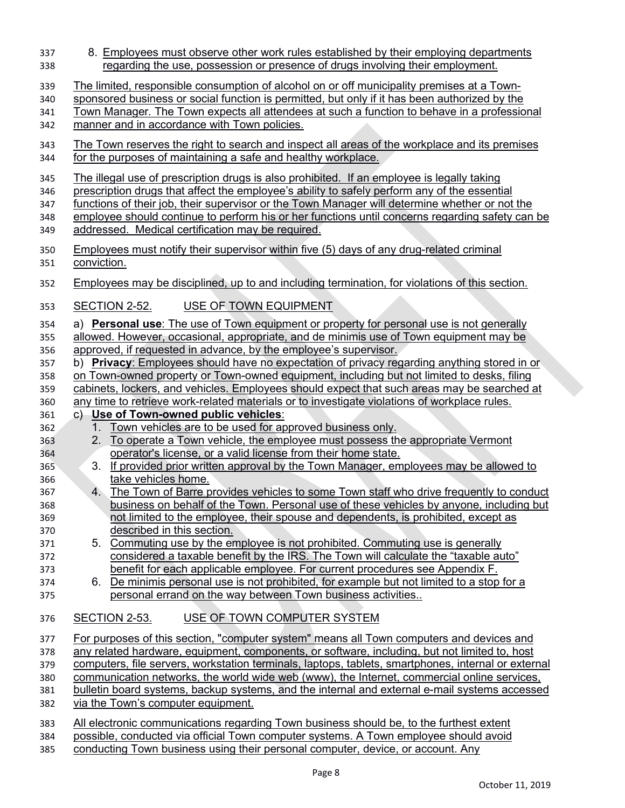| 337<br>338                      | 8. Employees must observe other work rules established by their employing departments<br>regarding the use, possession or presence of drugs involving their employment.                                                                                                                                                                                                                                                                              |
|---------------------------------|------------------------------------------------------------------------------------------------------------------------------------------------------------------------------------------------------------------------------------------------------------------------------------------------------------------------------------------------------------------------------------------------------------------------------------------------------|
| 339<br>340<br>341<br>342        | The limited, responsible consumption of alcohol on or off municipality premises at a Town-<br>sponsored business or social function is permitted, but only if it has been authorized by the<br>Town Manager. The Town expects all attendees at such a function to behave in a professional<br>manner and in accordance with Town policies.                                                                                                           |
| 343<br>344                      | The Town reserves the right to search and inspect all areas of the workplace and its premises<br>for the purposes of maintaining a safe and healthy workplace.                                                                                                                                                                                                                                                                                       |
| 345<br>346<br>347<br>348<br>349 | The illegal use of prescription drugs is also prohibited. If an employee is legally taking<br>prescription drugs that affect the employee's ability to safely perform any of the essential<br>functions of their job, their supervisor or the Town Manager will determine whether or not the<br>employee should continue to perform his or her functions until concerns regarding safety can be<br>addressed. Medical certification may be required. |
| 350<br>351                      | Employees must notify their supervisor within five (5) days of any drug-related criminal<br>conviction.                                                                                                                                                                                                                                                                                                                                              |
| 352                             | Employees may be disciplined, up to and including termination, for violations of this section.                                                                                                                                                                                                                                                                                                                                                       |
| 353                             | USE OF TOWN EQUIPMENT<br>SECTION 2-52.                                                                                                                                                                                                                                                                                                                                                                                                               |
| 354<br>355<br>356               | a) Personal use: The use of Town equipment or property for personal use is not generally<br><u>allowed. However, occasional, appropriate, and de minimis use of Town equipment may be</u><br>approved, if requested in advance, by the employee's supervisor.                                                                                                                                                                                        |
| 357<br>358<br>359               | <b>Privacy:</b> Employees should have no expectation of privacy regarding anything stored in or<br>b)<br>on Town-owned property or Town-owned equipment, including but not limited to desks, filing<br>cabinets, lockers, and vehicles. Employees should expect that such areas may be searched at                                                                                                                                                   |
| 360<br>361                      | any time to retrieve work-related materials or to investigate violations of workplace rules.<br>Use of Town-owned public vehicles:<br>$\mathsf{C}$                                                                                                                                                                                                                                                                                                   |
| 362                             | Town vehicles are to be used for approved business only.<br>1.                                                                                                                                                                                                                                                                                                                                                                                       |
| 363                             | <u>To operate a Town vehicle, the employee must possess the appropriate Vermont</u><br>2.                                                                                                                                                                                                                                                                                                                                                            |
| 364                             | operator's license, or a valid license from their home state.                                                                                                                                                                                                                                                                                                                                                                                        |
| 365                             | If provided prior written approval by the Town Manager, employees may be allowed to<br>3.                                                                                                                                                                                                                                                                                                                                                            |
| 366                             | take vehicles home.                                                                                                                                                                                                                                                                                                                                                                                                                                  |
| 367                             | The Town of Barre provides vehicles to some Town staff who drive frequently to conduct<br>4.                                                                                                                                                                                                                                                                                                                                                         |
| 368                             | business on behalf of the Town. Personal use of these vehicles by anyone, including but                                                                                                                                                                                                                                                                                                                                                              |
| 369                             | not limited to the employee, their spouse and dependents, is prohibited, except as                                                                                                                                                                                                                                                                                                                                                                   |
| 370                             | described in this section.                                                                                                                                                                                                                                                                                                                                                                                                                           |
| 371                             | 5. Commuting use by the employee is not prohibited. Commuting use is generally                                                                                                                                                                                                                                                                                                                                                                       |
| 372                             | considered a taxable benefit by the IRS. The Town will calculate the "taxable auto"                                                                                                                                                                                                                                                                                                                                                                  |
| 373                             | benefit for each applicable employee. For current procedures see Appendix F.                                                                                                                                                                                                                                                                                                                                                                         |
| 374<br>375                      | De minimis personal use is not prohibited, for example but not limited to a stop for a<br>6.<br>personal errand on the way between Town business activities                                                                                                                                                                                                                                                                                          |
| 376                             | USE OF TOWN COMPUTER SYSTEM<br><b>SECTION 2-53.</b>                                                                                                                                                                                                                                                                                                                                                                                                  |
| 377                             | For purposes of this section, "computer system" means all Town computers and devices and                                                                                                                                                                                                                                                                                                                                                             |
| 378                             | any related hardware, equipment, components, or software, including, but not limited to, host                                                                                                                                                                                                                                                                                                                                                        |
| 379                             | computers, file servers, workstation terminals, laptops, tablets, smartphones, internal or external                                                                                                                                                                                                                                                                                                                                                  |
| 380                             | communication networks, the world wide web (www), the Internet, commercial online services,                                                                                                                                                                                                                                                                                                                                                          |
| 381                             | bulletin board systems, backup systems, and the internal and external e-mail systems accessed                                                                                                                                                                                                                                                                                                                                                        |
| 382                             | via the Town's computer equipment.                                                                                                                                                                                                                                                                                                                                                                                                                   |
| 383                             | All electronic communications regarding Town business should be, to the furthest extent                                                                                                                                                                                                                                                                                                                                                              |
| 384<br>385                      | possible, conducted via official Town computer systems. A Town employee should avoid<br>conducting Town business using their personal computer device or account. Any                                                                                                                                                                                                                                                                                |
|                                 |                                                                                                                                                                                                                                                                                                                                                                                                                                                      |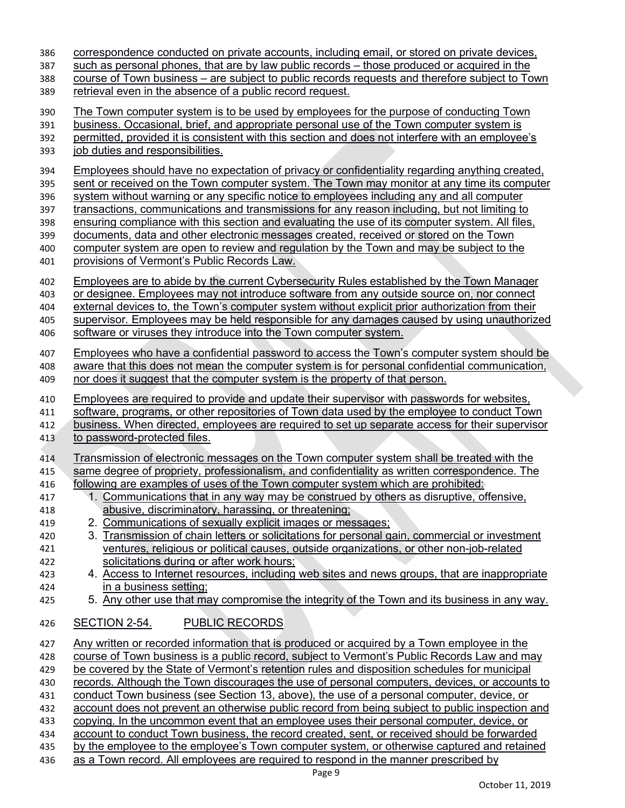| 386 | correspondence conducted on private accounts, including email, or stored on private devices,          |
|-----|-------------------------------------------------------------------------------------------------------|
| 387 | such as personal phones, that are by law public records – those produced or acquired in the           |
| 388 | course of Town business – are subject to public records requests and therefore subject to Town        |
| 389 | retrieval even in the absence of a public record request.                                             |
| 390 | The Town computer system is to be used by employees for the purpose of conducting Town                |
| 391 | business. Occasional, brief, and appropriate personal use of the Town computer system is              |
|     | permitted, provided it is consistent with this section and does not interfere with an employee's      |
| 392 |                                                                                                       |
| 393 | job duties and responsibilities.                                                                      |
| 394 | <b>Employees should have no expectation of privacy or confidentiality regarding anything created.</b> |
| 395 | sent or received on the Town computer system. The Town may monitor at any time its computer           |
| 396 | system without warning or any specific notice to employees including any and all computer             |
| 397 | transactions, communications and transmissions for any reason including, but not limiting to          |
| 398 | ensuring compliance with this section and evaluating the use of its computer system. All files,       |
| 399 | <u>documents, data and other electronic messages created, received or stored on the Town</u>          |
| 400 | computer system are open to review and regulation by the Town and may be subject to the               |
| 401 | provisions of Vermont's Public Records Law.                                                           |
|     |                                                                                                       |
| 402 | <u>Employees are to abide by the current Cybersecurity Rules established by the Town Manager</u>      |
| 403 | or designee. Employees may not introduce software from any outside source on, nor connect             |
| 404 | external devices to, the Town's computer system without explicit prior authorization from their       |
| 405 | supervisor. Employees may be held responsible for any damages caused by using unauthorized            |
| 406 | software or viruses they introduce into the Town computer system.                                     |
|     |                                                                                                       |
| 407 | <b>Employees who have a confidential password to access the Town's computer system should be</b>      |
| 408 | aware that this does not mean the computer system is for personal confidential communication,         |
| 409 | nor does it suggest that the computer system is the property of that person.                          |
| 410 | <b>Employees are required to provide and update their supervisor with passwords for websites,</b>     |
| 411 | software, programs, or other repositories of Town data used by the employee to conduct Town           |
| 412 | <u>business. When directed, employees are required to set up separate access for their supervisor</u> |
| 413 | to password-protected files.                                                                          |
|     |                                                                                                       |
| 414 | <u>Transmission of electronic messages on the Town computer system shall be treated with the</u>      |
| 415 | same degree of propriety, professionalism, and confidentiality as written correspondence. The         |
| 416 | following are examples of uses of the Town computer system which are prohibited:                      |
| 417 | 1. Communications that in any way may be construed by others as disruptive, offensive,                |
| 418 | abusive, discriminatory, harassing, or threatening;                                                   |
| 419 | 2. Communications of sexually explicit images or messages;                                            |
| 420 | 3. Transmission of chain letters or solicitations for personal gain, commercial or investment         |
| 421 | ventures, religious or political causes, outside organizations, or other non-job-related              |
| 422 | solicitations during or after work hours;                                                             |
| 423 | 4. Access to Internet resources, including web sites and news groups, that are inappropriate          |
| 424 | in a business setting;                                                                                |
| 425 | 5. Any other use that may compromise the integrity of the Town and its business in any way.           |
|     |                                                                                                       |
| 426 | <b>PUBLIC RECORDS</b><br><b>SECTION 2-54.</b>                                                         |
| 427 | Any written or recorded information that is produced or acquired by a Town employee in the            |
| 428 | course of Town business is a public record, subject to Vermont's Public Records Law and may           |
| 429 | be covered by the State of Vermont's retention rules and disposition schedules for municipal          |
| 430 | records. Although the Town discourages the use of personal computers, devices, or accounts to         |
| 431 | conduct Town business (see Section 13, above), the use of a personal computer, device, or             |
| 432 | account does not prevent an otherwise public record from being subject to public inspection and       |
| 433 | copying. In the uncommon event that an employee uses their personal computer, device, or              |
| 434 | account to conduct Town business, the record created, sent, or received should be forwarded           |
| 435 | by the employee to the employee's Town computer system, or otherwise captured and retained            |
|     |                                                                                                       |

436 as a Town record. All employees are required to respond in the manner prescribed by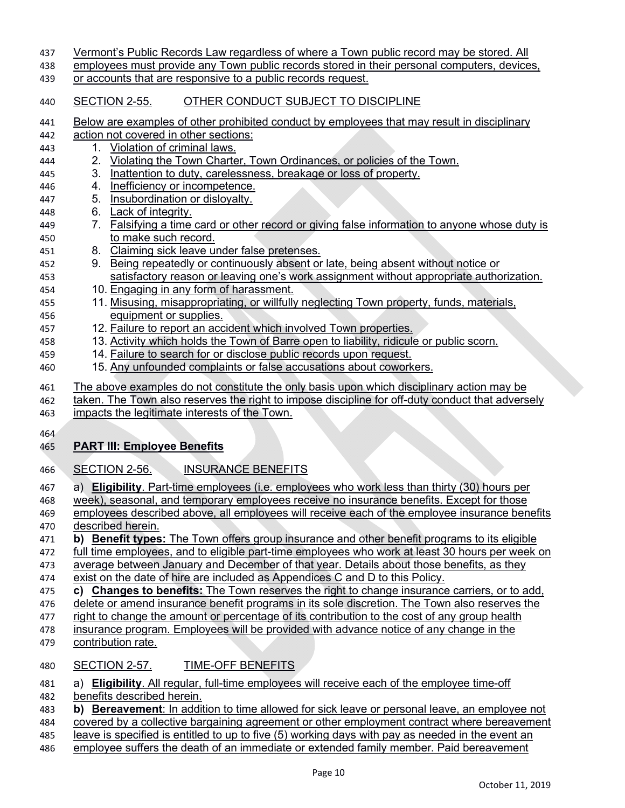| 437 | Vermont's Public Records Law regardless of where a Town public record may be stored. All         |
|-----|--------------------------------------------------------------------------------------------------|
| 438 | employees must provide any Town public records stored in their personal computers, devices,      |
| 439 | or accounts that are responsive to a public records request.                                     |
| 440 | OTHER CONDUCT SUBJECT TO DISCIPLINE<br><b>SECTION 2-55.</b>                                      |
| 441 | Below are examples of other prohibited conduct by employees that may result in disciplinary      |
| 442 | action not covered in other sections:                                                            |
| 443 | Violation of criminal laws.<br>1.                                                                |
| 444 | Violating the Town Charter, Town Ordinances, or policies of the Town.<br>2.                      |
| 445 | Inattention to duty, carelessness, breakage or loss of property.<br>3.                           |
| 446 | Inefficiency or incompetence.<br>4.                                                              |
| 447 | Insubordination or disloyalty.<br>5.                                                             |
| 448 | 6. Lack of integrity.                                                                            |
| 449 | 7. Falsifying a time card or other record or giving false information to anyone whose duty is    |
| 450 | to make such record.                                                                             |
| 451 | 8. Claiming sick leave under false pretenses.                                                    |
| 452 | 9. Being repeatedly or continuously absent or late, being absent without notice or               |
| 453 | satisfactory reason or leaving one's work assignment without appropriate authorization.          |
| 454 | 10. Engaging in any form of harassment.                                                          |
| 455 | 11. Misusing, misappropriating, or willfully neglecting Town property, funds, materials,         |
| 456 | equipment or supplies.                                                                           |
| 457 | 12. Failure to report an accident which involved Town properties.                                |
| 458 | 13. Activity which holds the Town of Barre open to liability, ridicule or public scorn.          |
| 459 | 14. Failure to search for or disclose public records upon request.                               |
| 460 | 15. Any unfounded complaints or false accusations about coworkers.                               |
|     |                                                                                                  |
| 461 | The above examples do not constitute the only basis upon which disciplinary action may be        |
| 462 | taken. The Town also reserves the right to impose discipline for off-duty conduct that adversely |
| 463 | impacts the legitimate interests of the Town.                                                    |
| 464 |                                                                                                  |
| 465 | <b>PART III: Employee Benefits</b>                                                               |
|     |                                                                                                  |
| 466 | <b>INSURANCE BENEFITS</b><br>SECTION 2-56.                                                       |
| 467 | a) Eligibility. Part-time employees (i.e. employees who work less than thirty (30) hours per     |
| 468 | week), seasonal, and temporary employees receive no insurance benefits. Except for those         |
| 469 | employees described above, all employees will receive each of the employee insurance benefits    |
| 470 | described herein.                                                                                |
| 471 | b) Benefit types: The Town offers group insurance and other benefit programs to its eligible     |
| 472 | full time employees, and to eligible part-time employees who work at least 30 hours per week on  |
| 473 | average between January and December of that year. Details about those benefits, as they         |
| 474 | exist on the date of hire are included as Appendices C and D to this Policy.                     |
| 475 | c) Changes to benefits: The Town reserves the right to change insurance carriers, or to add,     |
| 476 | delete or amend insurance benefit programs in its sole discretion. The Town also reserves the    |
| 477 | right to change the amount or percentage of its contribution to the cost of any group health     |
| 478 | insurance program. Employees will be provided with advance notice of any change in the           |
| 479 | contribution rate.                                                                               |
| 480 | <b>TIME-OFF BENEFITS</b><br><b>SECTION 2-57.</b>                                                 |
| 481 | a) Eligibility. All regular, full-time employees will receive each of the employee time-off      |
| 482 | benefits described herein.                                                                       |
| 483 | b) Bereavement: In addition to time allowed for sick leave or personal leave, an employee not    |
|     |                                                                                                  |
| 484 | covered by a collective bargaining agreement or other employment contract where bereavement      |

486 employee suffers the death of an immediate or extended family member. Paid bereavement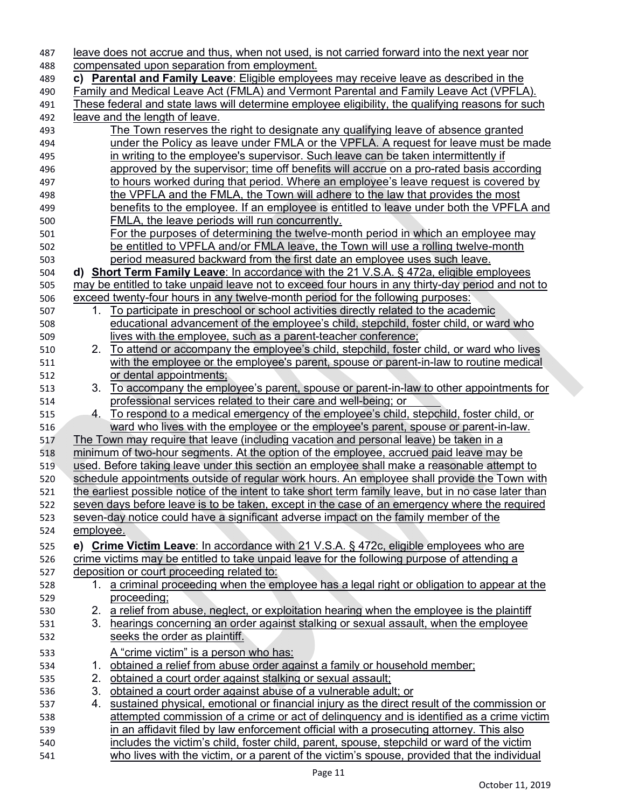| 487        |             | leave does not accrue and thus, when not used, is not carried forward into the next year nor                                                                                          |
|------------|-------------|---------------------------------------------------------------------------------------------------------------------------------------------------------------------------------------|
| 488        |             | compensated upon separation from employment.                                                                                                                                          |
| 489        |             | c) Parental and Family Leave: Eligible employees may receive leave as described in the                                                                                                |
| 490        |             | <b>Family and Medical Leave Act (FMLA) and Vermont Parental and Family Leave Act (VPFLA).</b>                                                                                         |
| 491        |             | <u>These federal and state laws will determine employee eligibility, the qualifying reasons for such</u>                                                                              |
| 492        |             | leave and the length of leave.                                                                                                                                                        |
| 493        |             | The Town reserves the right to designate any qualifying leave of absence granted                                                                                                      |
| 494        |             | under the Policy as leave under FMLA or the VPFLA. A request for leave must be made                                                                                                   |
| 495        |             | in writing to the employee's supervisor. Such leave can be taken intermittently if                                                                                                    |
| 496        |             | approved by the supervisor; time off benefits will accrue on a pro-rated basis according                                                                                              |
| 497        |             | to hours worked during that period. Where an employee's leave request is covered by                                                                                                   |
| 498        |             | the VPFLA and the FMLA, the Town will adhere to the law that provides the most                                                                                                        |
| 499        |             | benefits to the employee. If an employee is entitled to leave under both the VPFLA and                                                                                                |
| 500        |             | <b>FMLA, the leave periods will run concurrently.</b>                                                                                                                                 |
| 501        |             | <u>For the purposes of determining the twelve-month period in which an employee may</u>                                                                                               |
| 502        |             | be entitled to VPFLA and/or FMLA leave, the Town will use a rolling twelve-month                                                                                                      |
| 503        |             | period measured backward from the first date an employee uses such leave.                                                                                                             |
| 504        |             | d) Short Term Family Leave: In accordance with the 21 V.S.A. § 472a, eligible employees                                                                                               |
| 505        |             | may be entitled to take unpaid leave not to exceed four hours in any thirty-day period and not to                                                                                     |
| 506        |             | exceed twenty-four hours in any twelve-month period for the following purposes:                                                                                                       |
| 507        | 1.          | To participate in preschool or school activities directly related to the academic                                                                                                     |
| 508        |             | educational advancement of the employee's child, stepchild, foster child, or ward who                                                                                                 |
| 509        |             | lives with the employee, such as a parent-teacher conference;                                                                                                                         |
| 510        | 2.          | To attend or accompany the employee's child, stepchild, foster child, or ward who lives                                                                                               |
| 511        |             | with the employee or the employee's parent, spouse or parent-in-law to routine medical                                                                                                |
| 512        |             | or dental appointments;                                                                                                                                                               |
| 513        | 3.          | <u>To accompany the employee's parent, spouse or parent-in-law to other appointments for</u>                                                                                          |
| 514        |             | professional services related to their care and well-being; or                                                                                                                        |
| 515        |             | 4. To respond to a medical emergency of the employee's child, stepchild, foster child, or                                                                                             |
| 516        |             | ward who lives with the employee or the employee's parent, spouse or parent-in-law.                                                                                                   |
| 517        |             | The Town may require that leave (including vacation and personal leave) be taken in a                                                                                                 |
| 518        |             | minimum of two-hour segments. At the option of the employee, accrued paid leave may be                                                                                                |
| 519        |             | used. Before taking leave under this section an employee shall make a reasonable attempt to                                                                                           |
| 520        |             | schedule appointments outside of regular work hours. An employee shall provide the Town with                                                                                          |
| 521        |             | the earliest possible notice of the intent to take short term family leave, but in no case later than                                                                                 |
| 522        |             | seven days before leave is to be taken, except in the case of an emergency where the required                                                                                         |
| 523        |             | seven-day notice could have a significant adverse impact on the family member of the                                                                                                  |
| 524        | employee.   |                                                                                                                                                                                       |
| 525        |             | e) Crime Victim Leave: In accordance with 21 V.S.A. § 472c, eligible employees who are                                                                                                |
| 526        |             | crime victims may be entitled to take unpaid leave for the following purpose of attending a                                                                                           |
| 527        |             | deposition or court proceeding related to:                                                                                                                                            |
| 528        |             | 1. a criminal proceeding when the employee has a legal right or obligation to appear at the                                                                                           |
| 529        |             | proceeding;                                                                                                                                                                           |
| 530        |             | 2. a relief from abuse, neglect, or exploitation hearing when the employee is the plaintiff                                                                                           |
| 531        |             | 3. hearings concerning an order against stalking or sexual assault, when the employee                                                                                                 |
| 532        |             | seeks the order as plaintiff.                                                                                                                                                         |
|            |             |                                                                                                                                                                                       |
| 533        |             | A "crime victim" is a person who has:                                                                                                                                                 |
| 534        | $1_{\cdot}$ | obtained a relief from abuse order against a family or household member;                                                                                                              |
| 535        | 2.<br>3.    | obtained a court order against stalking or sexual assault;                                                                                                                            |
| 536        |             | obtained a court order against abuse of a vulnerable adult; or                                                                                                                        |
| 537        | 4.          | sustained physical, emotional or financial injury as the direct result of the commission or                                                                                           |
| 538        |             | attempted commission of a crime or act of delinguency and is identified as a crime victim<br>in an affidavit filed by law enforcement official with a prosecuting attorney. This also |
| 539<br>540 |             | includes the victim's child, foster child, parent, spouse, stepchild or ward of the victim                                                                                            |
|            |             | who lives with the victim, or a parent of the victim's spouse, provided that the individual                                                                                           |
| 541        |             |                                                                                                                                                                                       |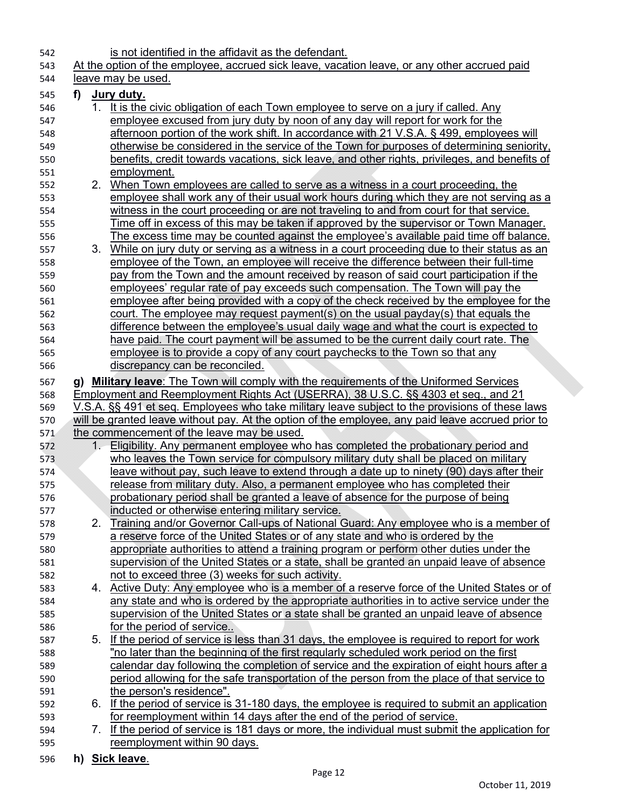| 542 |    |       | is not identified in the affidavit as the defendant.                                              |
|-----|----|-------|---------------------------------------------------------------------------------------------------|
| 543 |    |       | At the option of the employee, accrued sick leave, vacation leave, or any other accrued paid      |
| 544 |    |       | leave may be used.                                                                                |
| 545 | f) |       | <u>Jury duty.</u>                                                                                 |
| 546 |    | 1.    | It is the civic obligation of each Town employee to serve on a jury if called. Any                |
| 547 |    |       | employee excused from jury duty by noon of any day will report for work for the                   |
| 548 |    |       | afternoon portion of the work shift. In accordance with 21 V.S.A. § 499, employees will           |
| 549 |    |       | otherwise be considered in the service of the Town for purposes of determining seniority,         |
| 550 |    |       | benefits, credit towards vacations, sick leave, and other rights, privileges, and benefits of     |
| 551 |    |       | employment.                                                                                       |
| 552 |    | 2.    | When Town employees are called to serve as a witness in a court proceeding, the                   |
| 553 |    |       | employee shall work any of their usual work hours during which they are not serving as a          |
| 554 |    |       | witness in the court proceeding or are not traveling to and from court for that service.          |
| 555 |    |       | Time off in excess of this may be taken if approved by the supervisor or Town Manager.            |
| 556 |    |       | The excess time may be counted against the employee's available paid time off balance.            |
| 557 |    | 3.    | While on jury duty or serving as a witness in a court proceeding due to their status as an        |
| 558 |    |       | employee of the Town, an employee will receive the difference between their full-time             |
| 559 |    |       | pay from the Town and the amount received by reason of said court participation if the            |
| 560 |    |       | employees' reqular rate of pay exceeds such compensation. The Town will pay the                   |
| 561 |    |       | employee after being provided with a copy of the check received by the employee for the           |
| 562 |    |       | court. The employee may request payment(s) on the usual payday(s) that equals the                 |
| 563 |    |       | difference between the employee's usual daily wage and what the court is expected to              |
| 564 |    |       | have paid. The court payment will be assumed to be the current daily court rate. The              |
| 565 |    |       | employee is to provide a copy of any court paychecks to the Town so that any                      |
| 566 |    |       | discrepancy can be reconciled.                                                                    |
| 567 | g) |       | <b>Military leave:</b> The Town will comply with the requirements of the Uniformed Services       |
| 568 |    |       | <u>Employment and Reemployment Rights Act (USERRA), 38 U.S.C. §§ 4303 et seg., and 21</u>         |
| 569 |    |       | V.S.A. §§ 491 et seq. Employees who take military leave subject to the provisions of these laws   |
| 570 |    |       | will be granted leave without pay. At the option of the employee, any paid leave accrued prior to |
| 571 |    |       | the commencement of the leave may be used.                                                        |
| 572 |    | $1 -$ | Eligibility. Any permanent employee who has completed the probationary period and                 |
| 573 |    |       | who leaves the Town service for compulsory military duty shall be placed on military              |
| 574 |    |       | leave without pay, such leave to extend through a date up to ninety (90) days after their         |
| 575 |    |       | release from military duty. Also, a permanent employee who has completed their                    |
| 576 |    |       | probationary period shall be granted a leave of absence for the purpose of being                  |
| 577 |    |       | inducted or otherwise entering military service.                                                  |
| 578 |    | 2.    | Training and/or Governor Call-ups of National Guard: Any employee who is a member of              |
| 579 |    |       | a reserve force of the United States or of any state and who is ordered by the                    |
| 580 |    |       | appropriate authorities to attend a training program or perform other duties under the            |
| 581 |    |       | supervision of the United States or a state, shall be granted an unpaid leave of absence          |
| 582 |    |       | not to exceed three (3) weeks for such activity.                                                  |
| 583 |    |       | 4. Active Duty: Any employee who is a member of a reserve force of the United States or of        |
| 584 |    |       | any state and who is ordered by the appropriate authorities in to active service under the        |
| 585 |    |       | supervision of the United States or a state shall be granted an unpaid leave of absence           |
| 586 |    |       | for the period of service                                                                         |
| 587 |    |       | 5. If the period of service is less than 31 days, the employee is required to report for work     |
| 588 |    |       | "no later than the beginning of the first regularly scheduled work period on the first            |
| 589 |    |       | calendar day following the completion of service and the expiration of eight hours after a        |
| 590 |    |       | period allowing for the safe transportation of the person from the place of that service to       |
| 591 |    |       | the person's residence".                                                                          |
| 592 |    |       | 6. If the period of service is 31-180 days, the employee is required to submit an application     |
| 593 |    |       | for reemployment within 14 days after the end of the period of service.                           |
| 594 |    | 7.    | If the period of service is 181 days or more, the individual must submit the application for      |
| 595 |    |       | reemployment within 90 days.                                                                      |
|     |    |       |                                                                                                   |

**h) Sick leave**.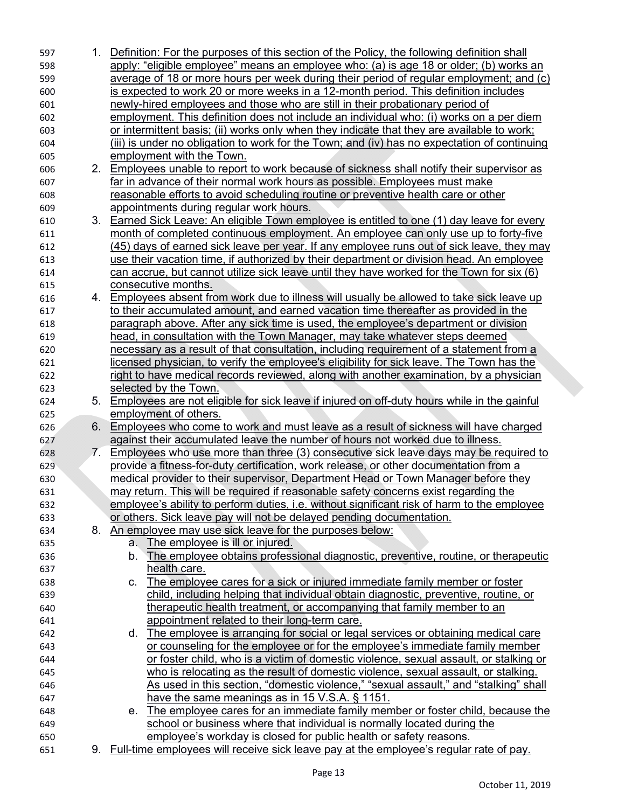| 597 |    | 1. Definition: For the purposes of this section of the Policy, the following definition shall    |
|-----|----|--------------------------------------------------------------------------------------------------|
| 598 |    | apply: "eligible employee" means an employee who: (a) is age 18 or older; (b) works an           |
| 599 |    | average of 18 or more hours per week during their period of regular employment; and (c)          |
| 600 |    | is expected to work 20 or more weeks in a 12-month period. This definition includes              |
| 601 |    | newly-hired employees and those who are still in their probationary period of                    |
| 602 |    | employment. This definition does not include an individual who: (i) works on a per diem          |
| 603 |    | or intermittent basis; (ii) works only when they indicate that they are available to work;       |
| 604 |    | (iii) is under no obligation to work for the Town; and (iv) has no expectation of continuing     |
| 605 |    | employment with the Town.                                                                        |
| 606 | 2. | Employees unable to report to work because of sickness shall notify their supervisor as          |
| 607 |    | far in advance of their normal work hours as possible. Employees must make                       |
| 608 |    | reasonable efforts to avoid scheduling routine or preventive health care or other                |
| 609 |    | appointments during regular work hours.                                                          |
| 610 |    | 3. Earned Sick Leave: An eligible Town employee is entitled to one (1) day leave for every       |
| 611 |    | month of completed continuous employment. An employee can only use up to forty-five              |
| 612 |    | <u>(45) days of earned sick leave per year. If any employee runs out of sick leave, they may</u> |
| 613 |    | use their vacation time, if authorized by their department or division head. An employee         |
| 614 |    | can accrue, but cannot utilize sick leave until they have worked for the Town for six $(6)$      |
| 615 |    | consecutive months.                                                                              |
| 616 |    | 4. Employees absent from work due to illness will usually be allowed to take sick leave up       |
| 617 |    | to their accumulated amount, and earned vacation time thereafter as provided in the              |
| 618 |    | paragraph above. After any sick time is used, the employee's department or division              |
| 619 |    | head, in consultation with the Town Manager, may take whatever steps deemed                      |
| 620 |    | necessary as a result of that consultation, including requirement of a statement from a          |
| 621 |    | licensed physician, to verify the employee's eligibility for sick leave. The Town has the        |
| 622 |    | right to have medical records reviewed, along with another examination, by a physician           |
| 623 |    | selected by the Town.                                                                            |
| 624 | 5. | Employees are not eligible for sick leave if injured on off-duty hours while in the gainful      |
| 625 |    | employment of others.                                                                            |
| 626 | 6. | Employees who come to work and must leave as a result of sickness will have charged              |
| 627 |    | against their accumulated leave the number of hours not worked due to illness.                   |
| 628 | 7. | Employees who use more than three (3) consecutive sick leave days may be required to             |
| 629 |    | provide a fitness-for-duty certification, work release, or other documentation from a            |
| 630 |    | medical provider to their supervisor, Department Head or Town Manager before they                |
| 631 |    | may return. This will be required if reasonable safety concerns exist regarding the              |
| 632 |    | employee's ability to perform duties, i.e. without significant risk of harm to the employee      |
| 633 |    | or others. Sick leave pay will not be delayed pending documentation.                             |
| 634 | 8. | An employee may use sick leave for the purposes below:                                           |
| 635 |    | a. The employee is ill or injured.                                                               |
| 636 |    | The employee obtains professional diagnostic, preventive, routine, or therapeutic<br>b.          |
| 637 |    | health care.                                                                                     |
| 638 |    | The employee cares for a sick or injured immediate family member or foster<br>C.                 |
| 639 |    | child, including helping that individual obtain diagnostic, preventive, routine, or              |
| 640 |    | therapeutic health treatment, or accompanying that family member to an                           |
| 641 |    | appointment related to their long-term care.                                                     |
| 642 |    | d. The employee is arranging for social or legal services or obtaining medical care              |
| 643 |    | or counseling for the employee or for the employee's immediate family member                     |
| 644 |    | or foster child, who is a victim of domestic violence, sexual assault, or stalking or            |
| 645 |    | who is relocating as the result of domestic violence, sexual assault, or stalking.               |
| 646 |    | As used in this section, "domestic violence," "sexual assault," and "stalking" shall             |
| 647 |    | have the same meanings as in 15 V.S.A. $\S$ 1151.                                                |
| 648 |    | The employee cares for an immediate family member or foster child, because the<br>e.             |
| 649 |    | school or business where that individual is normally located during the                          |
| 650 |    | employee's workday is closed for public health or safety reasons.                                |
| 651 |    | 9. Full-time employees will receive sick leave pay at the employee's regular rate of pay.        |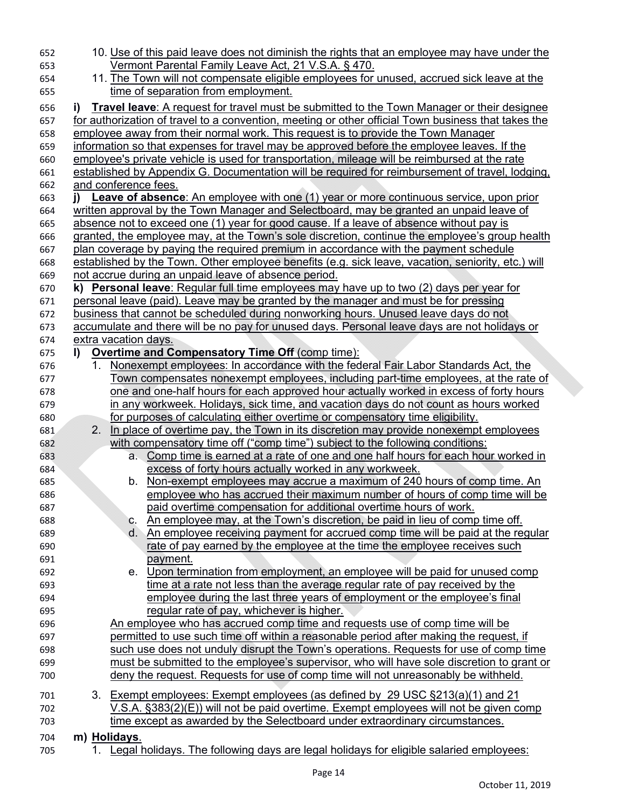| 652 | 10. <u>Use of this paid leave does not diminish the rights that an employee may have under the</u>   |
|-----|------------------------------------------------------------------------------------------------------|
| 653 | Vermont Parental Family Leave Act, 21 V.S.A. § 470.                                                  |
| 654 | 11. The Town will not compensate eligible employees for unused, accrued sick leave at the            |
| 655 | time of separation from employment.                                                                  |
| 656 | Travel leave: A request for travel must be submitted to the Town Manager or their designee<br>i)     |
| 657 | for authorization of travel to a convention, meeting or other official Town business that takes the  |
| 658 | employee away from their normal work. This request is to provide the Town Manager                    |
| 659 | information so that expenses for travel may be approved before the employee leaves. If the           |
| 660 | employee's private vehicle is used for transportation, mileage will be reimbursed at the rate        |
| 661 | established by Appendix G. Documentation will be required for reimbursement of travel, lodging,      |
| 662 | and conference fees.                                                                                 |
| 663 | <b>Leave of absence</b> : An employee with one (1) year or more continuous service, upon prior<br>i) |
| 664 | written approval by the Town Manager and Selectboard, may be granted an unpaid leave of              |
| 665 | absence not to exceed one (1) year for good cause. If a leave of absence without pay is              |
| 666 | granted, the employee may, at the Town's sole discretion, continue the employee's group health       |
| 667 | plan coverage by paying the required premium in accordance with the payment schedule                 |
| 668 | established by the Town. Other employee benefits (e.g. sick leave, vacation, seniority, etc.) will   |
| 669 | not accrue during an unpaid leave of absence period.                                                 |
| 670 | <b>Personal leave:</b> Regular full time employees may have up to two (2) days per year for<br>k)    |
| 671 | <u>personal leave (paid). Leave may be granted by the manager and must be for pressing</u>           |
| 672 | business that cannot be scheduled during nonworking hours. Unused leave days do not                  |
| 673 | accumulate and there will be no pay for unused days. Personal leave days are not holidays or         |
| 674 | extra vacation days.                                                                                 |
| 675 | <b>Overtime and Compensatory Time Off (comp time):</b><br>I)                                         |
| 676 | Nonexempt employees: In accordance with the federal Fair Labor Standards Act, the<br>1.              |
| 677 | Town compensates nonexempt employees, including part-time employees, at the rate of                  |
| 678 | <u>one and one-half hours for each approved hour actually worked in excess of forty hours</u>        |
| 679 | in any workweek. Holidays, sick time, and vacation days do not count as hours worked                 |
| 680 | for purposes of calculating either overtime or compensatory time eligibility.                        |
| 681 | In place of overtime pay, the Town in its discretion may provide nonexempt employees<br>$2_{\cdot}$  |
| 682 | with compensatory time off ("comp time") subject to the following conditions:                        |
| 683 | a. Comp time is earned at a rate of one and one half hours for each hour worked in                   |
| 684 | excess of forty hours actually worked in any workweek.                                               |
| 685 | Non-exempt employees may accrue a maximum of 240 hours of comp time. An<br>b.                        |
| 686 | employee who has accrued their maximum number of hours of comp time will be                          |
| 687 | paid overtime compensation for additional overtime hours of work.                                    |
| 688 | An employee may, at the Town's discretion, be paid in lieu of comp time off.<br>C.                   |
| 689 | An employee receiving payment for accrued comp time will be paid at the regular<br>d.                |
| 690 | rate of pay earned by the employee at the time the employee receives such                            |
| 691 | payment.                                                                                             |
| 692 | e. Upon termination from employment, an employee will be paid for unused comp                        |
| 693 | time at a rate not less than the average regular rate of pay received by the                         |
| 694 | employee during the last three years of employment or the employee's final                           |
| 695 | regular rate of pay, whichever is higher.                                                            |
| 696 | An employee who has accrued comp time and requests use of comp time will be                          |
| 697 | permitted to use such time off within a reasonable period after making the request, if               |
| 698 | such use does not unduly disrupt the Town's operations. Requests for use of comp time                |
| 699 | must be submitted to the employee's supervisor, who will have sole discretion to grant or            |
| 700 | deny the request. Requests for use of comp time will not unreasonably be withheld.                   |
| 701 | 3. Exempt employees: Exempt employees (as defined by 29 USC §213(a)(1) and 21                        |
| 702 | $V.S.A.$ $\S383(2)(E)$ ) will not be paid overtime. Exempt employees will not be given comp          |
| 703 | time except as awarded by the Selectboard under extraordinary circumstances.                         |
| 704 | m) Holidays.                                                                                         |
| 705 | 1. Legal holidays. The following days are legal holidays for eligible salaried employees:            |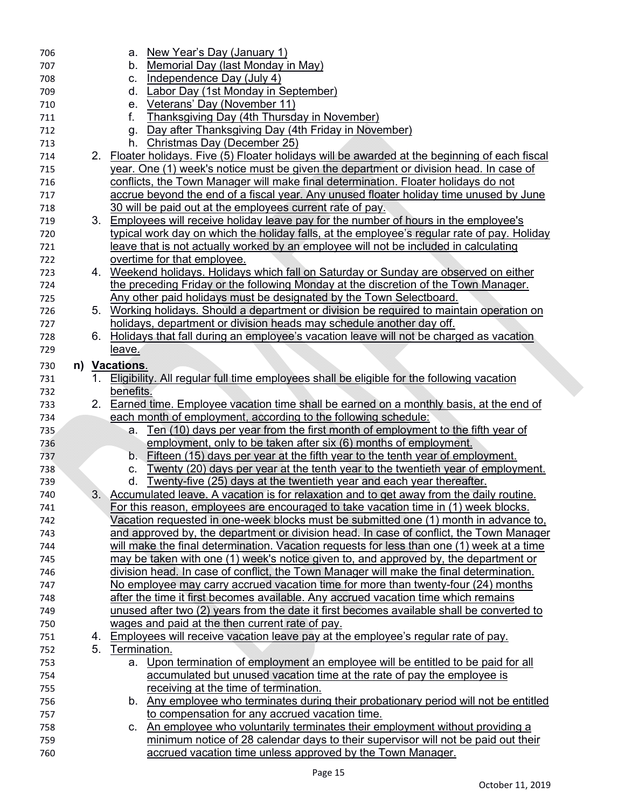| 706        |    | a. New Year's Day (January 1)                                                                                                                   |
|------------|----|-------------------------------------------------------------------------------------------------------------------------------------------------|
| 707        |    | Memorial Day (last Monday in May)<br>b.                                                                                                         |
| 708        |    | Independence Day (July 4)<br>C.                                                                                                                 |
| 709        |    | Labor Day (1st Monday in September)<br>d.                                                                                                       |
| 710        |    | Veterans' Day (November 11)<br>е.                                                                                                               |
| 711        |    | Thanksgiving Day (4th Thursday in November)<br>f.                                                                                               |
| 712        |    | Day after Thanksgiving Day (4th Friday in November)<br>g.                                                                                       |
| 713        |    | Christmas Day (December 25)<br>h.                                                                                                               |
| 714        | 2. | Floater holidays. Five (5) Floater holidays will be awarded at the beginning of each fiscal                                                     |
| 715        |    | year. One (1) week's notice must be given the department or division head. In case of                                                           |
| 716        |    | conflicts, the Town Manager will make final determination. Floater holidays do not                                                              |
| 717        |    | accrue beyond the end of a fiscal year. Any unused floater holiday time unused by June                                                          |
| 718        |    | 30 will be paid out at the employees current rate of pay.                                                                                       |
| 719        |    | 3. Employees will receive holiday leave pay for the number of hours in the employee's                                                           |
| 720        |    | typical work day on which the holiday falls, at the employee's regular rate of pay. Holiday                                                     |
| 721        |    | leave that is not actually worked by an employee will not be included in calculating                                                            |
| 722        |    | overtime for that employee.                                                                                                                     |
| 723        |    | 4. Weekend holidays. Holidays which fall on Saturday or Sunday are observed on either                                                           |
|            |    | the preceding Friday or the following Monday at the discretion of the Town Manager.                                                             |
| 724        |    |                                                                                                                                                 |
| 725        | 5. | Any other paid holidays must be designated by the Town Selectboard.                                                                             |
| 726        |    | Working holidays. Should a department or division be required to maintain operation on                                                          |
| 727        |    | holidays, department or division heads may schedule another day off.                                                                            |
| 728        | 6. | Holidays that fall during an employee's vacation leave will not be charged as vacation                                                          |
| 729        |    | leave.                                                                                                                                          |
| 730        |    | n) Vacations.                                                                                                                                   |
| 731        | 1. | Eligibility. All regular full time employees shall be eligible for the following vacation                                                       |
| 732        |    | benefits.                                                                                                                                       |
| 733        |    | 2. Earned time. Employee vacation time shall be earned on a monthly basis, at the end of                                                        |
| 734        |    | each month of employment, according to the following schedule:                                                                                  |
| 735        |    | Ten (10) days per year from the first month of employment to the fifth year of<br>а.                                                            |
| 736        |    | employment, only to be taken after six (6) months of employment.                                                                                |
| 737        |    | Fifteen (15) days per year at the fifth year to the tenth year of employment.<br>$b_{\cdot}$                                                    |
| 738        |    | Twenty (20) days per year at the tenth year to the twentieth year of employment.<br>C.                                                          |
| 739        |    | <u>Twenty-five (25)</u> days at the twentieth year and each year thereafter.<br>d.                                                              |
| 740        | 3. | Accumulated leave. A vacation is for relaxation and to get away from the daily routine.                                                         |
| 741        |    | For this reason, employees are encouraged to take vacation time in (1) week blocks.                                                             |
| 742        |    | Vacation requested in one-week blocks must be submitted one (1) month in advance to,                                                            |
| 743        |    | and approved by, the department or division head. In case of conflict, the Town Manager                                                         |
| 744        |    | will make the final determination. Vacation requests for less than one (1) week at a time                                                       |
| 745        |    | may be taken with one (1) week's notice given to, and approved by, the department or                                                            |
| 746        |    | division head. In case of conflict, the Town Manager will make the final determination.                                                         |
| 747        |    | No employee may carry accrued vacation time for more than twenty-four (24) months                                                               |
| 748        |    | after the time it first becomes available. Any accrued vacation time which remains                                                              |
| 749        |    | unused after two (2) years from the date it first becomes available shall be converted to                                                       |
| 750        |    | wages and paid at the then current rate of pay.                                                                                                 |
| 751        | 4. | Employees will receive vacation leave pay at the employee's regular rate of pay.                                                                |
| 752        | 5. | Termination.                                                                                                                                    |
| 753        |    | Upon termination of employment an employee will be entitled to be paid for all<br>а.                                                            |
| 754        |    | accumulated but unused vacation time at the rate of pay the employee is                                                                         |
|            |    |                                                                                                                                                 |
| 755        |    | receiving at the time of termination.                                                                                                           |
|            |    |                                                                                                                                                 |
| 756        |    | b. Any employee who terminates during their probationary period will not be entitled                                                            |
| 757        |    | to compensation for any accrued vacation time.<br>C.                                                                                            |
| 758        |    | An employee who voluntarily terminates their employment without providing a                                                                     |
|            |    |                                                                                                                                                 |
|            |    |                                                                                                                                                 |
|            |    |                                                                                                                                                 |
|            |    |                                                                                                                                                 |
|            |    |                                                                                                                                                 |
|            |    |                                                                                                                                                 |
|            |    |                                                                                                                                                 |
|            |    |                                                                                                                                                 |
|            |    |                                                                                                                                                 |
|            |    |                                                                                                                                                 |
|            |    |                                                                                                                                                 |
|            |    |                                                                                                                                                 |
|            |    |                                                                                                                                                 |
|            |    |                                                                                                                                                 |
|            |    |                                                                                                                                                 |
|            |    |                                                                                                                                                 |
|            |    |                                                                                                                                                 |
|            |    |                                                                                                                                                 |
|            |    |                                                                                                                                                 |
|            |    |                                                                                                                                                 |
|            |    |                                                                                                                                                 |
|            |    |                                                                                                                                                 |
|            |    |                                                                                                                                                 |
|            |    |                                                                                                                                                 |
|            |    |                                                                                                                                                 |
| 759<br>760 |    | minimum notice of 28 calendar days to their supervisor will not be paid out their<br>accrued vacation time unless approved by the Town Manager. |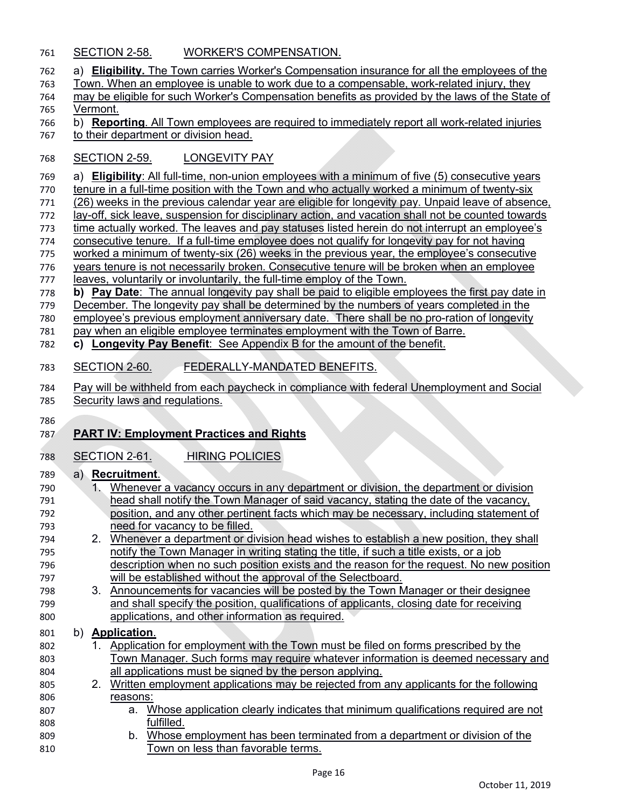- SECTION 2-58. WORKER'S COMPENSATION.
- a) **Eligibility.** The Town carries Worker's Compensation insurance for all the employees of the
- Town. When an employee is unable to work due to a compensable, work-related injury, they
- may be eligible for such Worker's Compensation benefits as provided by the laws of the State of Vermont.
- b) **Reporting**. All Town employees are required to immediately report all work-related injuries
- to their department or division head.

### SECTION 2-59. LONGEVITY PAY

a) **Eligibility**: All full-time, non-union employees with a minimum of five (5) consecutive years

- tenure in a full-time position with the Town and who actually worked a minimum of twenty-six
- (26) weeks in the previous calendar year are eligible for longevity pay. Unpaid leave of absence, lay-off, sick leave, suspension for disciplinary action, and vacation shall not be counted towards

time actually worked. The leaves and pay statuses listed herein do not interrupt an employee's

- consecutive tenure. If a full-time employee does not qualify for longevity pay for not having
- worked a minimum of twenty-six (26) weeks in the previous year, the employee's consecutive
- years tenure is not necessarily broken. Consecutive tenure will be broken when an employee
- 777 leaves, voluntarily or involuntarily, the full-time employ of the Town.
- **b) Pay Date**: The annual longevity pay shall be paid to eligible employees the first pay date in
- December. The longevity pay shall be determined by the numbers of years completed in the
- 780 employee's previous employment anniversary date. There shall be no pro-ration of longevity
- pay when an eligible employee terminates employment with the Town of Barre.
- **c) Longevity Pay Benefit**: See Appendix B for the amount of the benefit.

# SECTION 2-60. FEDERALLY-MANDATED BENEFITS.

 Pay will be withheld from each paycheck in compliance with federal Unemployment and Social Security laws and regulations.

## **PART IV: Employment Practices and Rights**

SECTION 2-61. HIRING POLICIES

## a) **Recruitment**.

| , ں |                | TWU GIUTIVIII.                                                                           |
|-----|----------------|------------------------------------------------------------------------------------------|
| 790 | 1.             | Whenever a vacancy occurs in any department or division, the department or division      |
| 791 |                | head shall notify the Town Manager of said vacancy, stating the date of the vacancy,     |
| 792 |                | position, and any other pertinent facts which may be necessary, including statement of   |
| 793 |                | need for vacancy to be filled.                                                           |
| 794 | 2 <sub>1</sub> | Whenever a department or division head wishes to establish a new position, they shall    |
| 795 |                | notify the Town Manager in writing stating the title, if such a title exists, or a job   |
| 796 |                | description when no such position exists and the reason for the request. No new position |
| 797 |                | will be established without the approval of the Selectboard.                             |
| 798 |                | 3. Announcements for vacancies will be posted by the Town Manager or their designee      |
| 799 |                | and shall specify the position, qualifications of applicants, closing date for receiving |
| 800 |                | applications, and other information as required.                                         |
| 801 |                | b) Application.                                                                          |
| 802 |                | Application for employment with the Town must be filed on forms prescribed by the        |
| 803 |                | Town Manager. Such forms may require whatever information is deemed necessary and        |
| 804 |                | all applications must be signed by the person applying.                                  |
| 805 | $2_{-}$        | Written employment applications may be rejected from any applicants for the following    |
| 806 |                | reasons:                                                                                 |

- a. Whose application clearly indicates that minimum qualifications required are not fulfilled.
- b. Whose employment has been terminated from a department or division of the Town on less than favorable terms.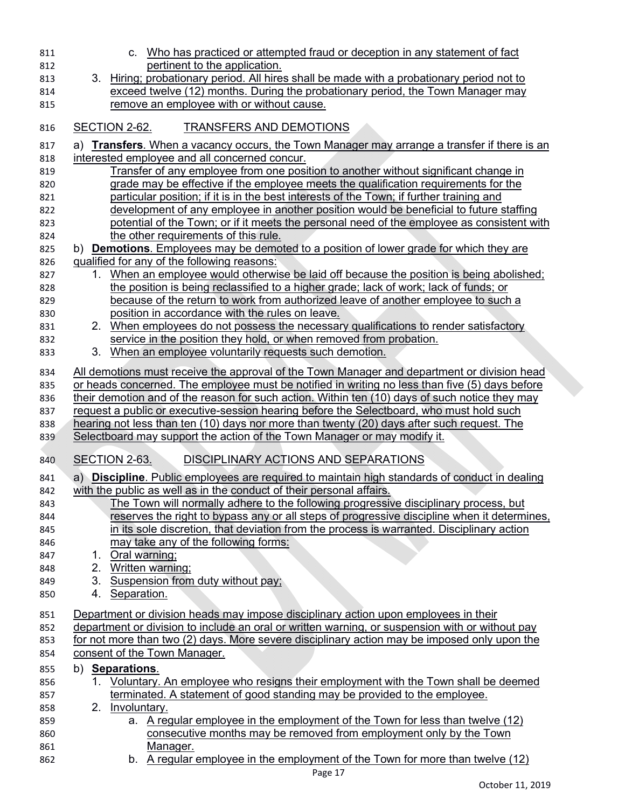| 811        | c. Who has practiced or attempted fraud or deception in any statement of fact                                                              |
|------------|--------------------------------------------------------------------------------------------------------------------------------------------|
| 812        | pertinent to the application.                                                                                                              |
| 813        | Hiring; probationary period. All hires shall be made with a probationary period not to<br>3.                                               |
| 814        | exceed twelve (12) months. During the probationary period, the Town Manager may                                                            |
| 815        | remove an employee with or without cause.                                                                                                  |
| 816        | SECTION 2-62.<br><b>TRANSFERS AND DEMOTIONS</b>                                                                                            |
| 817        | a) Transfers. When a vacancy occurs, the Town Manager may arrange a transfer if there is an                                                |
| 818        | interested employee and all concerned concur.                                                                                              |
| 819        | <u>Transfer of any employee from one position to another without significant change in</u>                                                 |
| 820        | grade may be effective if the employee meets the qualification requirements for the                                                        |
| 821        | particular position; if it is in the best interests of the Town; if further training and                                                   |
| 822        | development of any employee in another position would be beneficial to future staffing                                                     |
| 823        | potential of the Town; or if it meets the personal need of the employee as consistent with                                                 |
| 824        | the other requirements of this rule.                                                                                                       |
| 825        | b) <b>Demotions</b> . Employees may be demoted to a position of lower grade for which they are                                             |
| 826        | qualified for any of the following reasons:                                                                                                |
| 827        | When an employee would otherwise be laid off because the position is being abolished;<br>1.                                                |
| 828        | the position is being reclassified to a higher grade; lack of work; lack of funds; or                                                      |
| 829        | <u>because of the return to work from authorized leave of another employee to such a</u>                                                   |
| 830<br>831 | position in accordance with the rules on leave.<br>When employees do not possess the necessary qualifications to render satisfactory<br>2. |
| 832        | service in the position they hold, or when removed from probation.                                                                         |
| 833        | 3.<br>When an employee voluntarily requests such demotion.                                                                                 |
|            |                                                                                                                                            |
| 834        | All demotions must receive the approval of the Town Manager and department or division head                                                |
| 835        | or heads concerned. The employee must be notified in writing no less than five (5) days before                                             |
| 836        | their demotion and of the reason for such action. Within ten (10) days of such notice they may                                             |
| 837        | request a public or executive-session hearing before the Selectboard, who must hold such                                                   |
| 838        | hearing not less than ten (10) days nor more than twenty (20) days after such request. The                                                 |
| 839        | Selectboard may support the action of the Town Manager or may modify it.                                                                   |
| 840        | DISCIPLINARY ACTIONS AND SEPARATIONS<br><b>SECTION 2-63.</b>                                                                               |
| 841        | a) Discipline. Public employees are required to maintain high standards of conduct in dealing                                              |
| 842        | with the public as well as in the conduct of their personal affairs.                                                                       |
| 843        | The Town will normally adhere to the following progressive disciplinary process, but                                                       |
| 844        | reserves the right to bypass any or all steps of progressive discipline when it determines.                                                |
| 845        | in its sole discretion, that deviation from the process is warranted. Disciplinary action                                                  |
| 846        | may take any of the following forms:                                                                                                       |
| 847        | Oral warning;<br>1.                                                                                                                        |
| 848        | Written warning;<br>2.                                                                                                                     |
| 849        | Suspension from duty without pay;<br>3.                                                                                                    |
| 850        | Separation.<br>4.                                                                                                                          |
| 851        | Department or division heads may impose disciplinary action upon employees in their                                                        |
| 852        | department or division to include an oral or written warning, or suspension with or without pay                                            |
| 853        | for not more than two (2) days. More severe disciplinary action may be imposed only upon the                                               |
| 854        | consent of the Town Manager.                                                                                                               |
| 855        | b) Separations.                                                                                                                            |
| 856        | <u>Voluntary. An employee who resigns their employment with the Town shall be deemed</u>                                                   |
| 857        | terminated. A statement of good standing may be provided to the employee.<br>2.                                                            |
| 858<br>859 | Involuntary.<br>a. A regular employee in the employment of the Town for less than twelve (12)                                              |
| 860        | consecutive months may be removed from employment only by the Town                                                                         |
| 861        | Manager.                                                                                                                                   |
| 862        | b. A regular employee in the employment of the Town for more than twelve (12)                                                              |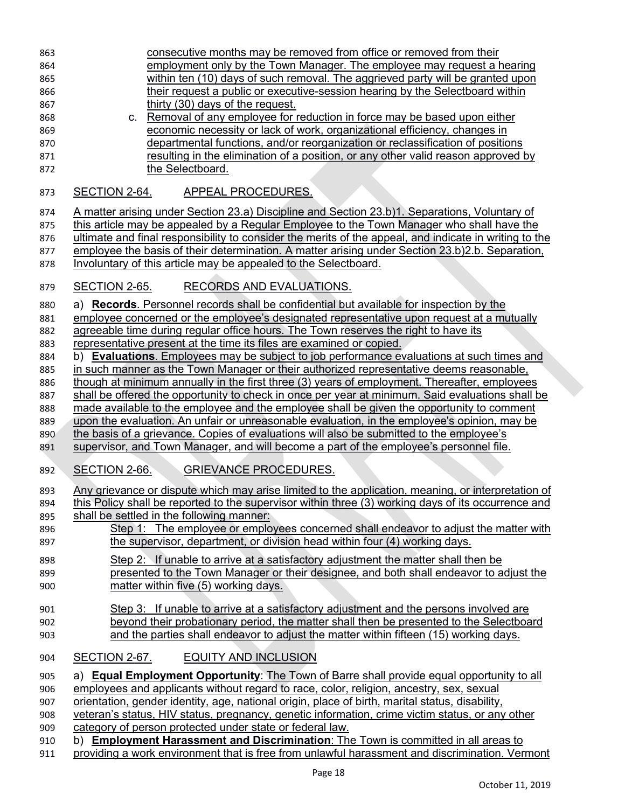| 863 | consecutive months may be removed from office or removed from their                                    |
|-----|--------------------------------------------------------------------------------------------------------|
| 864 | employment only by the Town Manager. The employee may request a hearing                                |
| 865 | within ten (10) days of such removal. The aggrieved party will be granted upon                         |
| 866 | their request a public or executive-session hearing by the Selectboard within                          |
| 867 | thirty (30) days of the request.                                                                       |
|     | Removal of any employee for reduction in force may be based upon either                                |
| 868 | C.                                                                                                     |
| 869 | economic necessity or lack of work, organizational efficiency, changes in                              |
| 870 | departmental functions, and/or reorganization or reclassification of positions                         |
| 871 | resulting in the elimination of a position, or any other valid reason approved by                      |
| 872 | the Selectboard.                                                                                       |
| 873 | APPEAL PROCEDURES.<br><b>SECTION 2-64.</b>                                                             |
|     | A matter arising under Section 23.a) Discipline and Section 23.b)1. Separations, Voluntary of          |
| 874 |                                                                                                        |
| 875 | this article may be appealed by a Regular Employee to the Town Manager who shall have the              |
| 876 | ultimate and final responsibility to consider the merits of the appeal, and indicate in writing to the |
| 877 | employee the basis of their determination. A matter arising under Section 23.b) 2.b. Separation,       |
| 878 | Involuntary of this article may be appealed to the Selectboard.                                        |
|     |                                                                                                        |
| 879 | RECORDS AND EVALUATIONS.<br><b>SECTION 2-65.</b>                                                       |
| 880 | a) Records. Personnel records shall be confidential but available for inspection by the                |
| 881 | employee concerned or the employee's designated representative upon request at a mutually              |
| 882 | agreeable time during regular office hours. The Town reserves the right to have its                    |
| 883 | representative present at the time its files are examined or copied.                                   |
| 884 | b) <b>Evaluations</b> . Employees may be subject to job performance evaluations at such times and      |
| 885 | in such manner as the Town Manager or their authorized representative deems reasonable,                |
| 886 | though at minimum annually in the first three (3) years of employment. Thereafter, employees           |
| 887 | shall be offered the opportunity to check in once per year at minimum. Said evaluations shall be       |
| 888 | made available to the employee and the employee shall be given the opportunity to comment              |
| 889 | upon the evaluation. An unfair or unreasonable evaluation, in the employee's opinion, may be           |
| 890 | the basis of a grievance. Copies of evaluations will also be submitted to the employee's               |
| 891 | supervisor, and Town Manager, and will become a part of the employee's personnel file.                 |
|     |                                                                                                        |
| 892 | <b>GRIEVANCE PROCEDURES.</b><br>SECTION 2-66.                                                          |
| 893 | Any grievance or dispute which may arise limited to the application, meaning, or interpretation of     |
| 894 | this Policy shall be reported to the supervisor within three (3) working days of its occurrence and    |
| 895 | shall be settled in the following manner:                                                              |
| 896 | Step 1: The employee or employees concerned shall endeavor to adjust the matter with                   |
| 897 | the supervisor, department, or division head within four (4) working days.                             |
|     |                                                                                                        |
| 898 | Step 2: If unable to arrive at a satisfactory adjustment the matter shall then be                      |
| 899 | presented to the Town Manager or their designee, and both shall endeavor to adjust the                 |
| 900 | matter within five (5) working days.                                                                   |
| 901 | Step 3: If unable to arrive at a satisfactory adjustment and the persons involved are                  |
| 902 | beyond their probationary period, the matter shall then be presented to the Selectboard                |
| 903 | and the parties shall endeavor to adjust the matter within fifteen (15) working days.                  |
|     | <b>EQUITY AND INCLUSION</b><br>SECTION 2-67.                                                           |
| 904 |                                                                                                        |
| 905 | a) Equal Employment Opportunity: The Town of Barre shall provide equal opportunity to all              |
| 906 | employees and applicants without regard to race, color, religion, ancestry, sex, sexual                |
| 907 | orientation, gender identity, age, national origin, place of birth, marital status, disability,        |
| 908 | veteran's status, HIV status, pregnancy, genetic information, crime victim status, or any other        |
| 909 | category of person protected under state or federal law.                                               |
| 910 | b) Employment Harassment and Discrimination: The Town is committed in all areas to                     |
| 911 | providing a work environment that is free from unlawful harassment and discrimination. Vermont         |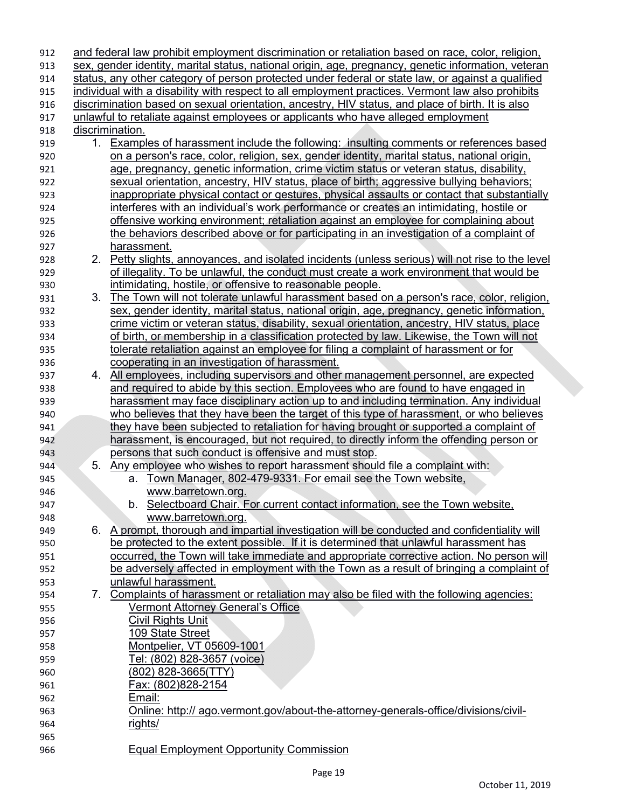| 912 |    | and federal law prohibit employment discrimination or retaliation based on race, color, religion,   |
|-----|----|-----------------------------------------------------------------------------------------------------|
| 913 |    | sex, gender identity, marital status, national origin, age, pregnancy, genetic information, veteran |
| 914 |    | status, any other category of person protected under federal or state law, or against a qualified   |
| 915 |    | individual with a disability with respect to all employment practices. Vermont law also prohibits   |
| 916 |    | discrimination based on sexual orientation, ancestry, HIV status, and place of birth. It is also    |
| 917 |    | unlawful to retaliate against employees or applicants who have alleged employment                   |
| 918 |    | discrimination.                                                                                     |
| 919 | 1. | <b>Examples of harassment include the following: insulting comments or references based</b>         |
| 920 |    | on a person's race, color, religion, sex, gender identity, marital status, national origin,         |
| 921 |    | age, pregnancy, genetic information, crime victim status or veteran status, disability,             |
| 922 |    | sexual orientation, ancestry, HIV status, place of birth; aggressive bullying behaviors;            |
| 923 |    | <u>inappropriate physical contact or gestures, physical assaults or contact that substantially</u>  |
| 924 |    | interferes with an individual's work performance or creates an intimidating, hostile or             |
| 925 |    | offensive working environment; retaliation against an employee for complaining about                |
| 926 |    | the behaviors described above or for participating in an investigation of a complaint of            |
| 927 |    | harassment.                                                                                         |
| 928 | 2. | Petty slights, annoyances, and isolated incidents (unless serious) will not rise to the level       |
| 929 |    | of illegality. To be unlawful, the conduct must create a work environment that would be             |
| 930 |    | intimidating, hostile, or offensive to reasonable people.                                           |
| 931 | 3. | The Town will not tolerate unlawful harassment based on a person's race, color, religion,           |
| 932 |    | sex, gender identity, marital status, national origin, age, pregnancy, genetic information,         |
| 933 |    | crime victim or veteran status, disability, sexual orientation, ancestry, HIV status, place         |
| 934 |    | of birth, or membership in a classification protected by law. Likewise, the Town will not           |
| 935 |    | tolerate retaliation against an employee for filing a complaint of harassment or for                |
| 936 |    | cooperating in an investigation of harassment.                                                      |
| 937 | 4. | All employees, including supervisors and other management personnel, are expected                   |
| 938 |    | and required to abide by this section. Employees who are found to have engaged in                   |
| 939 |    | harassment may face disciplinary action up to and including termination. Any individual             |
| 940 |    | who believes that they have been the target of this type of harassment, or who believes             |
| 941 |    | they have been subjected to retaliation for having brought or supported a complaint of              |
| 942 |    | harassment, is encouraged, but not required, to directly inform the offending person or             |
| 943 |    | persons that such conduct is offensive and must stop.                                               |
| 944 | 5. | Any employee who wishes to report harassment should file a complaint with:                          |
| 945 |    | Town Manager, 802-479-9331. For email see the Town website,<br>а.                                   |
| 946 |    | www.barretown.org.                                                                                  |
| 947 |    | b. Selectboard Chair. For current contact information, see the Town website                         |
| 948 |    | www.barretown.org.                                                                                  |
| 949 |    | 6. A prompt, thorough and impartial investigation will be conducted and confidentiality will        |
| 950 |    | be protected to the extent possible. If it is determined that unlawful harassment has               |
| 951 |    | occurred, the Town will take immediate and appropriate corrective action. No person will            |
| 952 |    | be adversely affected in employment with the Town as a result of bringing a complaint of            |
| 953 |    | unlawful harassment.                                                                                |
| 954 | 7. | Complaints of harassment or retaliation may also be filed with the following agencies:              |
| 955 |    | <b>Vermont Attorney General's Office</b>                                                            |
| 956 |    | <b>Civil Rights Unit</b>                                                                            |
| 957 |    | 109 State Street                                                                                    |
| 958 |    | Montpelier, VT 05609-1001                                                                           |
| 959 |    | Tel: (802) 828-3657 (voice)                                                                         |
| 960 |    | (802) 828-3665(TTY)                                                                                 |
| 961 |    | Fax: (802)828-2154                                                                                  |
| 962 |    | Email:                                                                                              |
| 963 |    | Online: http:// ago.vermont.gov/about-the-attorney-generals-office/divisions/civil-                 |
| 964 |    | rights/                                                                                             |
| 965 |    |                                                                                                     |
| 966 |    | <b>Equal Employment Opportunity Commission</b>                                                      |
|     |    |                                                                                                     |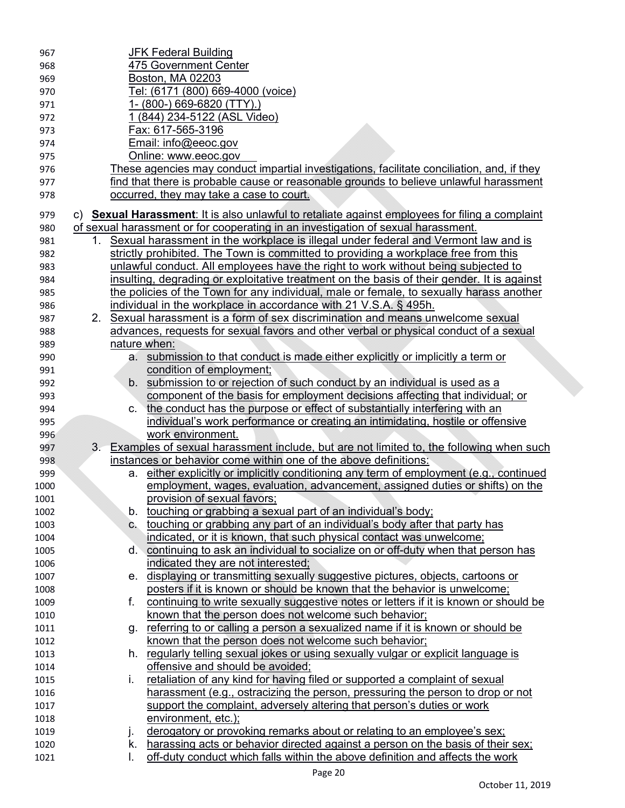| 967  |                | <u>JFK Federal Building</u>                                                                     |
|------|----------------|-------------------------------------------------------------------------------------------------|
| 968  |                | 475 Government Center                                                                           |
| 969  |                | Boston, MA 02203                                                                                |
| 970  |                | Tel: (6171 (800) 669-4000 (voice)                                                               |
| 971  |                | 1-(800-) 669-6820 (TTY).)                                                                       |
| 972  |                | (844) 234-5122 (ASL Video)                                                                      |
| 973  |                | Fax: 617-565-3196                                                                               |
| 974  |                | Email: info@eeoc.gov                                                                            |
| 975  |                | Online: www.eeoc.gov                                                                            |
| 976  |                | These agencies may conduct impartial investigations, facilitate conciliation, and, if they      |
| 977  |                | find that there is probable cause or reasonable grounds to believe unlawful harassment          |
| 978  |                | occurred, they may take a case to court.                                                        |
| 979  |                | c) Sexual Harassment: It is also unlawful to retaliate against employees for filing a complaint |
| 980  |                | of sexual harassment or for cooperating in an investigation of sexual harassment.               |
| 981  | 1.             | Sexual harassment in the workplace is illegal under federal and Vermont law and is              |
| 982  |                | strictly prohibited. The Town is committed to providing a workplace free from this              |
| 983  |                | unlawful conduct. All employees have the right to work without being subjected to               |
| 984  |                | insulting, degrading or exploitative treatment on the basis of their gender. It is against      |
| 985  |                | the policies of the Town for any individual, male or female, to sexually harass another         |
| 986  |                | individual in the workplace in accordance with 21 V.S.A. § 495h.                                |
| 987  |                | 2. Sexual harassment is a form of sex discrimination and means unwelcome sexual                 |
| 988  |                | advances, requests for sexual favors and other verbal or physical conduct of a sexual           |
| 989  |                | nature when:                                                                                    |
| 990  | а.             | submission to that conduct is made either explicitly or implicitly a term or                    |
| 991  |                | condition of employment;                                                                        |
| 992  |                | b. submission to or rejection of such conduct by an individual is used as a                     |
| 993  |                | component of the basis for employment decisions affecting that individual; or                   |
| 994  | C.             | the conduct has the purpose or effect of substantially interfering with an                      |
| 995  |                | individual's work performance or creating an intimidating, hostile or offensive                 |
| 996  |                | work environment.                                                                               |
| 997  | 3 <sub>1</sub> | Examples of sexual harassment include, but are not limited to, the following when such          |
| 998  |                | instances or behavior come within one of the above definitions:                                 |
| 999  | а.             | either explicitly or implicitly conditioning any term of employment (e.g., continued            |
| 1000 |                | employment, wages, evaluation, advancement, assigned duties or shifts) on the                   |
| 1001 |                | provision of sexual favors;                                                                     |
| 1002 | b.             | touching or grabbing a sexual part of an individual's body;                                     |
| 1003 | $C_{1}$        | touching or grabbing any part of an individual's body after that party has                      |
| 1004 |                | indicated, or it is known, that such physical contact was unwelcome;                            |
| 1005 | d.             | continuing to ask an individual to socialize on or off-duty when that person has                |
| 1006 |                | indicated they are not interested;                                                              |
| 1007 | е.             | displaying or transmitting sexually suggestive pictures, objects, cartoons or                   |
| 1008 |                | posters if it is known or should be known that the behavior is unwelcome;                       |
| 1009 | f.             | continuing to write sexually suggestive notes or letters if it is known or should be            |
| 1010 |                | known that the person does not welcome such behavior;                                           |
| 1011 | g.             | referring to or calling a person a sexualized name if it is known or should be                  |
| 1012 |                | known that the person does not welcome such behavior;                                           |
| 1013 | h.             | regularly telling sexual jokes or using sexually vulgar or explicit language is                 |
| 1014 |                | offensive and should be avoided;                                                                |
| 1015 | İ.             | retaliation of any kind for having filed or supported a complaint of sexual                     |
| 1016 |                | harassment (e.g., ostracizing the person, pressuring the person to drop or not                  |
| 1017 |                | support the complaint, adversely altering that person's duties or work                          |
| 1018 |                | environment, etc.);                                                                             |
| 1019 | j.             | derogatory or provoking remarks about or relating to an employee's sex;                         |
| 1020 | k.             | harassing acts or behavior directed against a person on the basis of their sex;                 |
| 1021 | I.             | off-duty conduct which falls within the above definition and affects the work                   |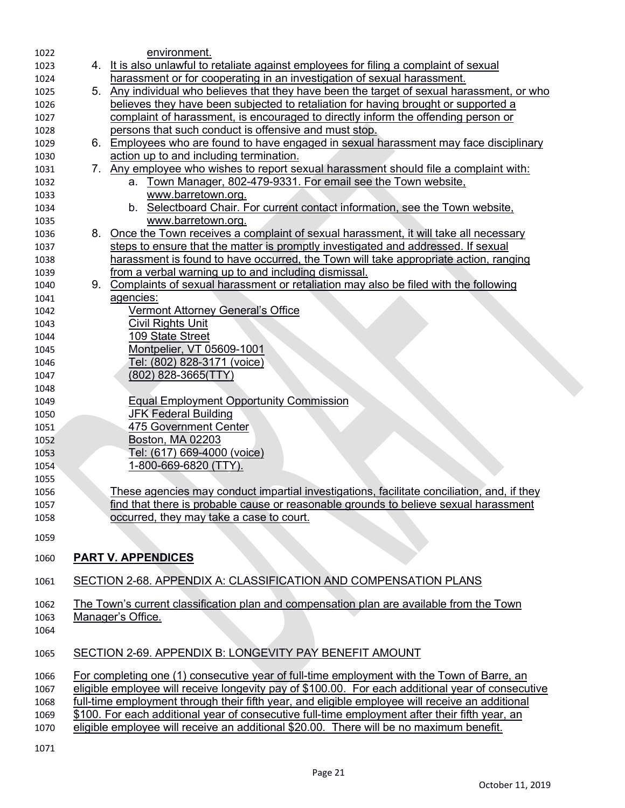| 1022 | environment.                                                                                      |
|------|---------------------------------------------------------------------------------------------------|
| 1023 | 4. It is also unlawful to retaliate against employees for filing a complaint of sexual            |
| 1024 | harassment or for cooperating in an investigation of sexual harassment.                           |
| 1025 | 5. Any individual who believes that they have been the target of sexual harassment, or who        |
| 1026 | believes they have been subjected to retaliation for having brought or supported a                |
| 1027 | complaint of harassment, is encouraged to directly inform the offending person or                 |
| 1028 | persons that such conduct is offensive and must stop.                                             |
| 1029 | 6. Employees who are found to have engaged in sexual harassment may face disciplinary             |
| 1030 | action up to and including termination.                                                           |
| 1031 | 7. Any employee who wishes to report sexual harassment should file a complaint with:              |
| 1032 | a. Town Manager, 802-479-9331. For email see the Town website,                                    |
| 1033 | www.barretown.org.                                                                                |
| 1034 | b. Selectboard Chair. For current contact information, see the Town website,                      |
| 1035 | www.barretown.org.                                                                                |
| 1036 | 8. Once the Town receives a complaint of sexual harassment, it will take all necessary            |
| 1037 | steps to ensure that the matter is promptly investigated and addressed. If sexual                 |
| 1038 | harassment is found to have occurred, the Town will take appropriate action, ranging              |
| 1039 | from a verbal warning up to and including dismissal.                                              |
| 1040 | 9. Complaints of sexual harassment or retaliation may also be filed with the following            |
| 1041 | agencies:                                                                                         |
| 1042 | <b>Vermont Attorney General's Office</b>                                                          |
| 1043 | Civil Rights Unit                                                                                 |
| 1044 | 109 State Street                                                                                  |
| 1045 | Montpelier, VT 05609-1001                                                                         |
| 1046 | Tel: (802) 828-3171 (voice)                                                                       |
| 1047 | $(802)$ 828-3665(TTY)                                                                             |
| 1048 |                                                                                                   |
| 1049 | <b>Equal Employment Opportunity Commission</b>                                                    |
| 1050 | <b>JFK Federal Building</b>                                                                       |
| 1051 | 475 Government Center                                                                             |
| 1052 | Boston, MA 02203                                                                                  |
| 1053 | <u> Tel: (617) 669-4000 (voice)</u>                                                               |
| 1054 | 1-800-669-6820 (TTY).                                                                             |
| 1055 |                                                                                                   |
| 1056 | These agencies may conduct impartial investigations, facilitate conciliation, and, if they        |
| 1057 | find that there is probable cause or reasonable grounds to believe sexual harassment              |
| 1058 | occurred, they may take a case to court.                                                          |
|      |                                                                                                   |
| 1059 |                                                                                                   |
| 1060 | <b>PART V. APPENDICES</b>                                                                         |
| 1061 | SECTION 2-68. APPENDIX A: CLASSIFICATION AND COMPENSATION PLANS                                   |
| 1062 | The Town's current classification plan and compensation plan are available from the Town          |
| 1063 | Manager's Office.                                                                                 |
| 1064 |                                                                                                   |
|      |                                                                                                   |
| 1065 | SECTION 2-69. APPENDIX B: LONGEVITY PAY BENEFIT AMOUNT                                            |
| 1066 | For completing one (1) consecutive year of full-time employment with the Town of Barre, an        |
| 1067 | eligible employee will receive longevity pay of \$100.00. For each additional year of consecutive |
| 1068 | full-time employment through their fifth year, and eligible employee will receive an additional   |
| 1069 | \$100. For each additional year of consecutive full-time employment after their fifth year, an    |
| 1070 | eligible employee will receive an additional \$20.00. There will be no maximum benefit.           |
|      |                                                                                                   |
| 1071 |                                                                                                   |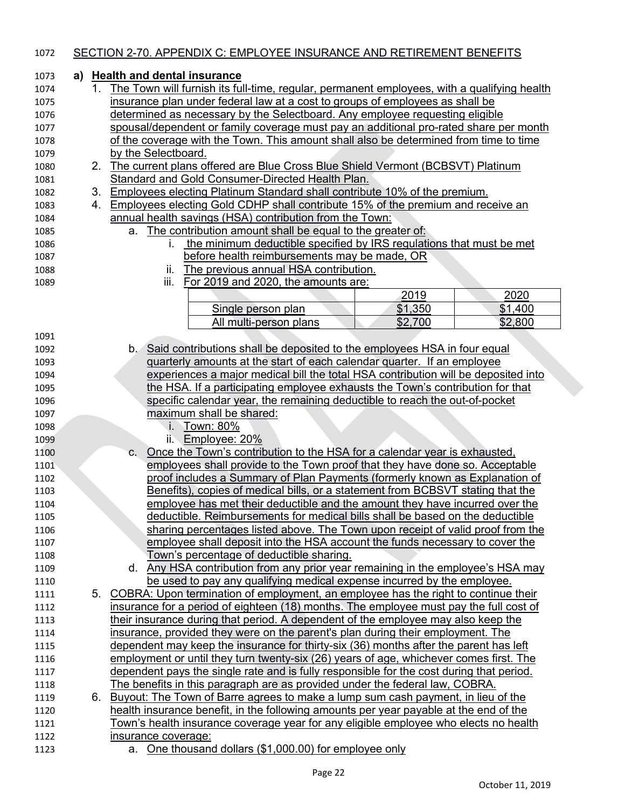#### SECTION 2-70. APPENDIX C: EMPLOYEE INSURANCE AND RETIREMENT BENEFITS **a) Health and dental insurance** 1. The Town will furnish its full-time, regular, permanent employees, with a qualifying health insurance plan under federal law at a cost to groups of employees as shall be determined as necessary by the Selectboard. Any employee requesting eligible spousal/dependent or family coverage must pay an additional pro-rated share per month of the coverage with the Town. This amount shall also be determined from time to time by the Selectboard. 2. The current plans offered are Blue Cross Blue Shield Vermont (BCBSVT) Platinum Standard and Gold Consumer-Directed Health Plan. 3. Employees electing Platinum Standard shall contribute 10% of the premium. 4. Employees electing Gold CDHP shall contribute 15% of the premium and receive an annual health savings (HSA) contribution from the Town: a. The contribution amount shall be equal to the greater of: i. the minimum deductible specified by IRS regulations that must be met before health reimbursements may be made, OR ii. The previous annual HSA contribution. iii. For 2019 and 2020, the amounts are: 2020 Single person plan  $$1,350$  | \$1,400 All multi-person plans 1 \$2,700 \$2,800 b. Said contributions shall be deposited to the employees HSA in four equal quarterly amounts at the start of each calendar quarter. If an employee experiences a major medical bill the total HSA contribution will be deposited into the HSA. If a participating employee exhausts the Town's contribution for that specific calendar year, the remaining deductible to reach the out-of-pocket maximum shall be shared: i. Town: 80% ii. Employee: 20% c. Once the Town's contribution to the HSA for a calendar year is exhausted, employees shall provide to the Town proof that they have done so. Acceptable proof includes a Summary of Plan Payments (formerly known as Explanation of Benefits), copies of medical bills, or a statement from BCBSVT stating that the employee has met their deductible and the amount they have incurred over the deductible. Reimbursements for medical bills shall be based on the deductible sharing percentages listed above. The Town upon receipt of valid proof from the employee shall deposit into the HSA account the funds necessary to cover the Town's percentage of deductible sharing. d. Any HSA contribution from any prior year remaining in the employee's HSA may be used to pay any qualifying medical expense incurred by the employee. 1111 5. COBRA: Upon termination of employment, an employee has the right to continue their insurance for a period of eighteen (18) months. The employee must pay the full cost of 1113 their insurance during that period. A dependent of the employee may also keep the insurance, provided they were on the parent's plan during their employment. The dependent may keep the insurance for thirty-six (36) months after the parent has left employment or until they turn twenty-six (26) years of age, whichever comes first. The dependent pays the single rate and is fully responsible for the cost during that period. The benefits in this paragraph are as provided under the federal law, COBRA. 6. Buyout: The Town of Barre agrees to make a lump sum cash payment, in lieu of the health insurance benefit, in the following amounts per year payable at the end of the Town's health insurance coverage year for any eligible employee who elects no health insurance coverage: a. One thousand dollars (\$1,000.00) for employee only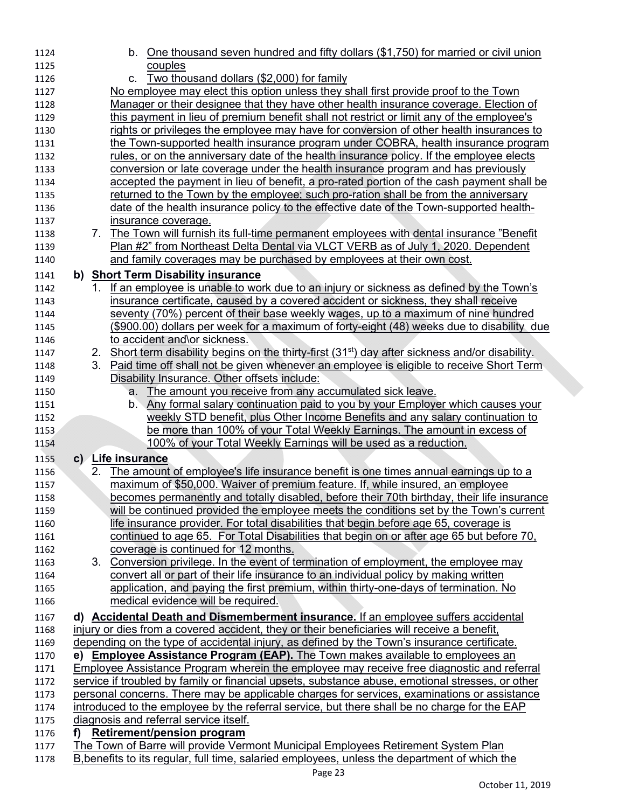| 1124 |    |    | b. One thousand seven hundred and fifty dollars (\$1,750) for married or civil union                          |
|------|----|----|---------------------------------------------------------------------------------------------------------------|
| 1125 |    |    | couples                                                                                                       |
| 1126 |    |    | Two thousand dollars (\$2,000) for family<br>C.                                                               |
| 1127 |    |    | No employee may elect this option unless they shall first provide proof to the Town                           |
| 1128 |    |    | Manager or their designee that they have other health insurance coverage. Election of                         |
| 1129 |    |    | this payment in lieu of premium benefit shall not restrict or limit any of the employee's                     |
| 1130 |    |    | rights or privileges the employee may have for conversion of other health insurances to                       |
| 1131 |    |    | the Town-supported health insurance program under COBRA, health insurance program                             |
| 1132 |    |    | rules, or on the anniversary date of the health insurance policy. If the employee elects                      |
| 1133 |    |    | conversion or late coverage under the health insurance program and has previously                             |
| 1134 |    |    | accepted the payment in lieu of benefit, a pro-rated portion of the cash payment shall be                     |
| 1135 |    |    | returned to the Town by the employee; such pro-ration shall be from the anniversary                           |
| 1136 |    |    | date of the health insurance policy to the effective date of the Town-supported health-                       |
| 1137 |    |    | insurance coverage.                                                                                           |
| 1138 |    |    | 7. The Town will furnish its full-time permanent employees with dental insurance "Benefit"                    |
| 1139 |    |    | Plan #2" from Northeast Delta Dental via VLCT VERB as of July 1, 2020. Dependent                              |
| 1140 |    |    | and family coverages may be purchased by employees at their own cost.                                         |
| 1141 |    |    | b) Short Term Disability insurance                                                                            |
| 1142 |    | 1. | If an employee is unable to work due to an injury or sickness as defined by the Town's                        |
| 1143 |    |    | insurance certificate, caused by a covered accident or sickness, they shall receive                           |
| 1144 |    |    | seventy (70%) percent of their base weekly wages, up to a maximum of nine hundred                             |
| 1145 |    |    | (\$900.00) dollars per week for a maximum of forty-eight (48) weeks due to disability due                     |
| 1146 |    |    | to accident and\or sickness.                                                                                  |
| 1147 |    |    | 2. Short term disability begins on the thirty-first (31 <sup>st</sup> ) day after sickness and/or disability. |
| 1148 |    |    | 3. Paid time off shall not be given whenever an employee is eligible to receive Short Term                    |
| 1149 |    |    | Disability Insurance. Other offsets include:                                                                  |
| 1150 |    |    | The amount you receive from any accumulated sick leave.<br>а.                                                 |
| 1151 |    |    | <u>Any formal salary continuation paid to you by your Employer which causes your</u><br>b.                    |
| 1152 |    |    | weekly STD benefit, plus Other Income Benefits and any salary continuation to                                 |
| 1153 |    |    | be more than 100% of your Total Weekly Earnings. The amount in excess of                                      |
| 1154 |    |    | 100% of your Total Weekly Earnings will be used as a reduction.                                               |
| 1155 |    |    | c) Life insurance                                                                                             |
| 1156 |    | 2. | The amount of employee's life insurance benefit is one times annual earnings up to a                          |
| 1157 |    |    | maximum of \$50,000. Waiver of premium feature. If, while insured, an employee                                |
| 1158 |    |    | becomes permanently and totally disabled, before their 70th birthday, their life insurance                    |
| 1159 |    |    | will be continued provided the employee meets the conditions set by the Town's current                        |
| 1160 |    |    | life insurance provider. For total disabilities that begin before age 65, coverage is                         |
| 1161 |    |    | continued to age 65. For Total Disabilities that begin on or after age 65 but before 70,                      |
| 1162 |    |    | coverage is continued for 12 months.                                                                          |
| 1163 |    |    | 3. Conversion privilege. In the event of termination of employment, the employee may                          |
| 1164 |    |    | convert all or part of their life insurance to an individual policy by making written                         |
| 1165 |    |    | application, and paying the first premium, within thirty-one-days of termination. No                          |
| 1166 |    |    | medical evidence will be required.                                                                            |
| 1167 |    |    | d) Accidental Death and Dismemberment insurance. If an employee suffers accidental                            |
| 1168 |    |    | injury or dies from a covered accident, they or their beneficiaries will receive a benefit,                   |
| 1169 |    |    | depending on the type of accidental injury, as defined by the Town's insurance certificate.                   |
| 1170 |    |    | e) Employee Assistance Program (EAP). The Town makes available to employees an                                |
| 1171 |    |    | Employee Assistance Program wherein the employee may receive free diagnostic and referral                     |
| 1172 |    |    | service if troubled by family or financial upsets, substance abuse, emotional stresses, or other              |
| 1173 |    |    | personal concerns. There may be applicable charges for services, examinations or assistance                   |
| 1174 |    |    | introduced to the employee by the referral service, but there shall be no charge for the EAP                  |
| 1175 |    |    | diagnosis and referral service itself.                                                                        |
| 1176 | f) |    | <b>Retirement/pension program</b>                                                                             |
| 1177 |    |    | The Town of Barre will provide Vermont Municipal Employees Retirement System Plan                             |
| 1178 |    |    | B, benefits to its regular, full time, salaried employees, unless the department of which the                 |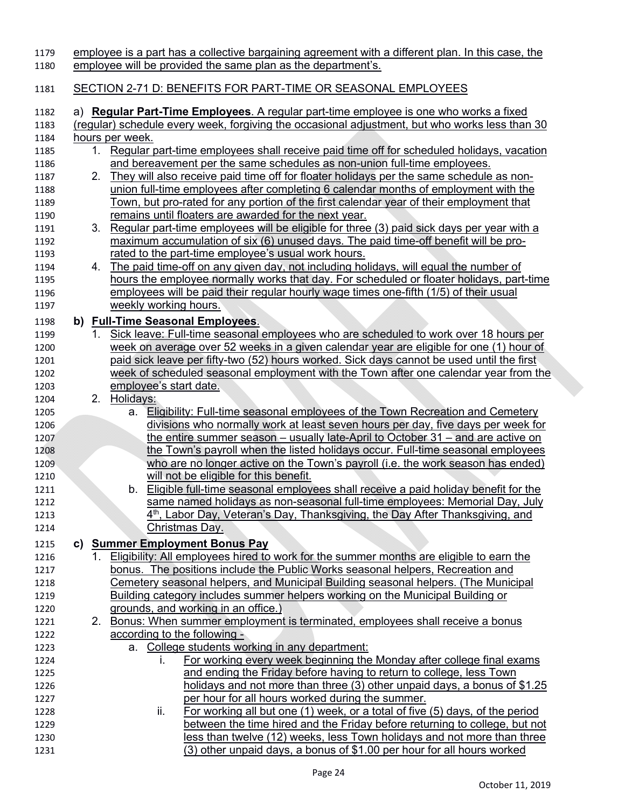| 1179<br>1180 |    |    | employee is a part has a collective bargaining agreement with a different plan. In this case, the<br>employee will be provided the same plan as the department's. |
|--------------|----|----|-------------------------------------------------------------------------------------------------------------------------------------------------------------------|
| 1181         |    |    | SECTION 2-71 D: BENEFITS FOR PART-TIME OR SEASONAL EMPLOYEES                                                                                                      |
| 1182         |    |    | a) Regular Part-Time Employees. A regular part-time employee is one who works a fixed                                                                             |
| 1183         |    |    | (regular) schedule every week, forgiving the occasional adjustment, but who works less than 30                                                                    |
| 1184         |    |    | hours per week.                                                                                                                                                   |
| 1185         |    | 1. | Regular part-time employees shall receive paid time off for scheduled holidays, vacation                                                                          |
| 1186         |    |    | and bereavement per the same schedules as non-union full-time employees.                                                                                          |
| 1187         |    | 2. | They will also receive paid time off for floater holidays per the same schedule as non-                                                                           |
| 1188         |    |    | union full-time employees after completing 6 calendar months of employment with the                                                                               |
| 1189         |    |    | Town, but pro-rated for any portion of the first calendar year of their employment that                                                                           |
| 1190         |    |    | remains until floaters are awarded for the next year.                                                                                                             |
| 1191         |    |    | 3. Regular part-time employees will be eligible for three (3) paid sick days per year with a                                                                      |
| 1192         |    |    | maximum accumulation of six (6) unused days. The paid time-off benefit will be pro-                                                                               |
| 1193         |    |    | rated to the part-time employee's usual work hours.                                                                                                               |
| 1194         |    |    | 4. The paid time-off on any given day, not including holidays, will equal the number of                                                                           |
| 1195         |    |    | hours the employee normally works that day. For scheduled or floater holidays, part-time                                                                          |
| 1196         |    |    | employees will be paid their regular hourly wage times one-fifth (1/5) of their usual                                                                             |
| 1197         |    |    | weekly working hours.                                                                                                                                             |
| 1198         |    |    | b) Full-Time Seasonal Employees.                                                                                                                                  |
| 1199         |    | 1. | Sick leave: Full-time seasonal employees who are scheduled to work over 18 hours per                                                                              |
| 1200         |    |    | week on average over 52 weeks in a given calendar year are eligible for one (1) hour of                                                                           |
| 1201         |    |    | paid sick leave per fifty-two (52) hours worked. Sick days cannot be used until the first                                                                         |
| 1202         |    |    | week of scheduled seasonal employment with the Town after one calendar year from the                                                                              |
| 1203         |    |    | employee's start date.                                                                                                                                            |
| 1204         |    |    | 2. Holidays:                                                                                                                                                      |
| 1205         |    |    | a. Eligibility: Full-time seasonal employees of the Town Recreation and Cemetery                                                                                  |
| 1206         |    |    | divisions who normally work at least seven hours per day, five days per week for                                                                                  |
| 1207         |    |    | the entire summer season – usually late-April to October 31 – and are active on                                                                                   |
| 1208         |    |    | the Town's payroll when the listed holidays occur. Full-time seasonal employees                                                                                   |
| 1209         |    |    | who are no longer active on the Town's payroll (i.e. the work season has ended)                                                                                   |
| 1210         |    |    | will not be eligible for this benefit.                                                                                                                            |
| 1211         |    |    | Eligible full-time seasonal employees shall receive a paid holiday benefit for the<br>b.                                                                          |
| 1212         |    |    | same named holidays as non-seasonal full-time employees: Memorial Day, July                                                                                       |
| 1213         |    |    | 4 <sup>th</sup> , Labor Day, Veteran's Day, Thanksgiving, the Day After Thanksgiving, and                                                                         |
| 1214         |    |    | Christmas Day.                                                                                                                                                    |
| 1215         | C) |    | <b>Summer Employment Bonus Pay</b>                                                                                                                                |
| 1216         |    |    | 1. Eligibility: All employees hired to work for the summer months are eligible to earn the                                                                        |
| 1217         |    |    | bonus. The positions include the Public Works seasonal helpers, Recreation and                                                                                    |
| 1218         |    |    | Cemetery seasonal helpers, and Municipal Building seasonal helpers. (The Municipal                                                                                |
| 1219         |    |    | Building category includes summer helpers working on the Municipal Building or                                                                                    |
| 1220         |    |    | grounds, and working in an office.)                                                                                                                               |
| 1221         |    |    | 2. Bonus: When summer employment is terminated, employees shall receive a bonus                                                                                   |
| 1222         |    |    | according to the following -                                                                                                                                      |
| 1223         |    |    | a. College students working in any department:                                                                                                                    |
| 1224         |    |    | For working every week beginning the Monday after college final exams<br>L.                                                                                       |
| 1225         |    |    | and ending the Friday before having to return to college, less Town                                                                                               |
| 1226         |    |    | holidays and not more than three (3) other unpaid days, a bonus of \$1.25                                                                                         |
| 1227         |    |    | per hour for all hours worked during the summer.                                                                                                                  |
| 1228         |    |    | For working all but one (1) week, or a total of five (5) days, of the period<br>ii.                                                                               |
| 1229         |    |    | between the time hired and the Friday before returning to college, but not                                                                                        |
| 1230         |    |    | less than twelve (12) weeks, less Town holidays and not more than three                                                                                           |
| 1231         |    |    | (3) other unpaid days, a bonus of \$1.00 per hour for all hours worked                                                                                            |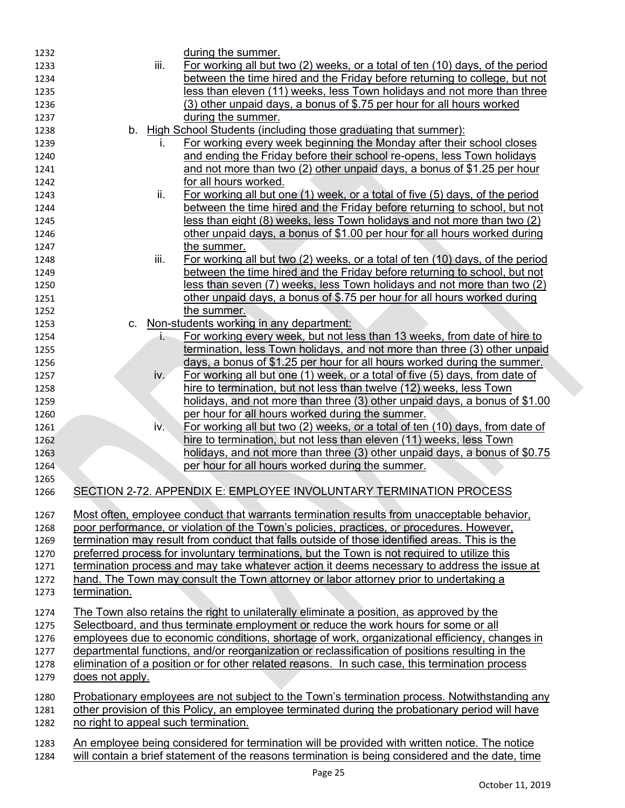| 1232 |                                      |                   | during the summer.                                                                                   |
|------|--------------------------------------|-------------------|------------------------------------------------------------------------------------------------------|
| 1233 |                                      | iii.              | For working all but two (2) weeks, or a total of ten (10) days, of the period                        |
| 1234 |                                      |                   | between the time hired and the Friday before returning to college, but not                           |
| 1235 |                                      |                   | less than eleven (11) weeks, less Town holidays and not more than three                              |
| 1236 |                                      |                   | (3) other unpaid days, a bonus of \$.75 per hour for all hours worked                                |
| 1237 |                                      |                   | during the summer.                                                                                   |
| 1238 |                                      |                   | b. High School Students (including those graduating that summer):                                    |
| 1239 |                                      |                   | For working every week beginning the Monday after their school closes                                |
| 1240 |                                      |                   | and ending the Friday before their school re-opens, less Town holidays                               |
| 1241 |                                      |                   | and not more than two (2) other unpaid days, a bonus of \$1.25 per hour                              |
| 1242 |                                      |                   | for all hours worked.                                                                                |
| 1243 |                                      | ii.               | For working all but one (1) week, or a total of five (5) days, of the period                         |
| 1244 |                                      |                   | between the time hired and the Friday before returning to school, but not                            |
| 1245 |                                      |                   | less than eight (8) weeks, less Town holidays and not more than two (2)                              |
| 1246 |                                      |                   | other unpaid days, a bonus of \$1.00 per hour for all hours worked during                            |
| 1247 |                                      |                   | the summer.                                                                                          |
| 1248 |                                      | iii.              | For working all but two (2) weeks, or a total of ten (10) days, of the period                        |
| 1249 |                                      |                   | between the time hired and the Friday before returning to school, but not                            |
| 1250 |                                      |                   | less than seven (7) weeks, less Town holidays and not more than two (2)                              |
| 1251 |                                      |                   | other unpaid days, a bonus of \$.75 per hour for all hours worked during                             |
| 1252 |                                      |                   | the summer.                                                                                          |
| 1253 | $C_{1}$                              |                   | Non-students working in any department:                                                              |
| 1254 |                                      | İ.                | For working every week, but not less than 13 weeks, from date of hire to                             |
| 1255 |                                      |                   | termination, less Town holidays, and not more than three (3) other unpaid                            |
| 1256 |                                      |                   | days, a bonus of \$1.25 per hour for all hours worked during the summer.                             |
| 1257 |                                      | iv.               | For working all but one (1) week, or a total of five (5) days, from date of                          |
| 1258 |                                      |                   | hire to termination, but not less than twelve (12) weeks, less Town                                  |
| 1259 |                                      |                   | holidays, and not more than three (3) other unpaid days, a bonus of \$1.00                           |
| 1260 |                                      |                   | per hour for all hours worked during the summer.                                                     |
| 1261 |                                      | $i\overline{v}$ . | For working all but two (2) weeks, or a total of ten (10) days, from date of                         |
| 1262 |                                      |                   | hire to termination, but not less than eleven (11) weeks, less Town                                  |
| 1263 |                                      |                   | holidays, and not more than three (3) other unpaid days, a bonus of \$0.75                           |
| 1264 |                                      |                   | per hour for all hours worked during the summer.                                                     |
| 1265 |                                      |                   |                                                                                                      |
| 1266 |                                      |                   | SECTION 2-72. APPENDIX E: EMPLOYEE INVOLUNTARY TERMINATION PROCESS                                   |
| 1267 |                                      |                   | Most often, employee conduct that warrants termination results from unacceptable behavior,           |
| 1268 |                                      |                   | poor performance, or violation of the Town's policies, practices, or procedures. However,            |
| 1269 |                                      |                   | termination may result from conduct that falls outside of those identified areas. This is the        |
| 1270 |                                      |                   | preferred process for involuntary terminations, but the Town is not required to utilize this         |
| 1271 |                                      |                   | termination process and may take whatever action it deems necessary to address the issue at          |
| 1272 |                                      |                   | hand. The Town may consult the Town attorney or labor attorney prior to undertaking a                |
| 1273 | termination.                         |                   |                                                                                                      |
| 1274 |                                      |                   | The Town also retains the right to unilaterally eliminate a position, as approved by the             |
| 1275 |                                      |                   | Selectboard, and thus terminate employment or reduce the work hours for some or all                  |
| 1276 |                                      |                   | employees due to economic conditions, shortage of work, organizational efficiency, changes in        |
| 1277 |                                      |                   | departmental functions, and/or reorganization or reclassification of positions resulting in the      |
| 1278 |                                      |                   | elimination of a position or for other related reasons. In such case, this termination process       |
| 1279 | does not apply.                      |                   |                                                                                                      |
|      |                                      |                   |                                                                                                      |
| 1280 |                                      |                   | <u>Probationary employees are not subject to the Town's termination process. Notwithstanding any</u> |
| 1281 |                                      |                   | other provision of this Policy, an employee terminated during the probationary period will have      |
| 1282 | no right to appeal such termination. |                   |                                                                                                      |
| 1283 |                                      |                   | An employee being considered for termination will be provided with written notice. The notice        |
| 1284 |                                      |                   | will contain a brief statement of the reasons termination is being considered and the date, time     |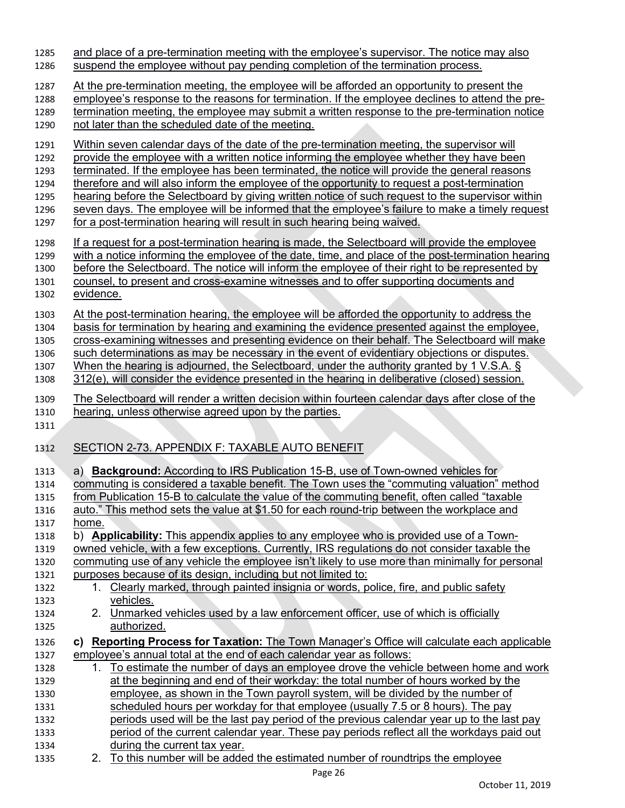| 1285                 | and place of a pre-termination meeting with the employee's supervisor. The notice may also                                                                                                                                                                                                               |
|----------------------|----------------------------------------------------------------------------------------------------------------------------------------------------------------------------------------------------------------------------------------------------------------------------------------------------------|
| 1286                 | suspend the employee without pay pending completion of the termination process.                                                                                                                                                                                                                          |
| 1287                 | At the pre-termination meeting, the employee will be afforded an opportunity to present the                                                                                                                                                                                                              |
| 1288                 | employee's response to the reasons for termination. If the employee declines to attend the pre-                                                                                                                                                                                                          |
| 1289                 | termination meeting, the employee may submit a written response to the pre-termination notice                                                                                                                                                                                                            |
| 1290                 | not later than the scheduled date of the meeting.                                                                                                                                                                                                                                                        |
| 1291                 | Within seven calendar days of the date of the pre-termination meeting, the supervisor will                                                                                                                                                                                                               |
| 1292                 | provide the employee with a written notice informing the employee whether they have been                                                                                                                                                                                                                 |
| 1293                 | terminated. If the employee has been terminated, the notice will provide the general reasons                                                                                                                                                                                                             |
| 1294                 | therefore and will also inform the employee of the opportunity to request a post-termination                                                                                                                                                                                                             |
| 1295                 | hearing before the Selectboard by giving written notice of such request to the supervisor within                                                                                                                                                                                                         |
| 1296                 | seven days. The employee will be informed that the employee's failure to make a timely request                                                                                                                                                                                                           |
| 1297                 | for a post-termination hearing will result in such hearing being waived.                                                                                                                                                                                                                                 |
| 1298                 | If a request for a post-termination hearing is made, the Selectboard will provide the employee                                                                                                                                                                                                           |
| 1299                 | with a notice informing the employee of the date, time, and place of the post-termination hearing                                                                                                                                                                                                        |
| 1300                 | before the Selectboard. The notice will inform the employee of their right to be represented by                                                                                                                                                                                                          |
| 1301                 | counsel, to present and cross-examine witnesses and to offer supporting documents and                                                                                                                                                                                                                    |
| 1302                 | evidence.                                                                                                                                                                                                                                                                                                |
| 1303                 | At the post-termination hearing, the employee will be afforded the opportunity to address the                                                                                                                                                                                                            |
| 1304                 | basis for termination by hearing and examining the evidence presented against the employee,                                                                                                                                                                                                              |
| 1305                 | cross-examining witnesses and presenting evidence on their behalf. The Selectboard will make                                                                                                                                                                                                             |
| 1306                 | such determinations as may be necessary in the event of evidentiary objections or disputes.                                                                                                                                                                                                              |
| 1307                 | When the hearing is adjourned, the Selectboard, under the authority granted by 1 V.S.A. §                                                                                                                                                                                                                |
| 1308                 | 312(e), will consider the evidence presented in the hearing in deliberative (closed) session.                                                                                                                                                                                                            |
| 1309<br>1310<br>1311 | The Selectboard will render a written decision within fourteen calendar days after close of the<br>hearing, unless otherwise agreed upon by the parties.                                                                                                                                                 |
| 1312                 | SECTION 2-73. APPENDIX F: TAXABLE AUTO BENEFIT                                                                                                                                                                                                                                                           |
| 1313                 | a) <b>Background:</b> According to IRS Publication 15-B, use of Town-owned vehicles for                                                                                                                                                                                                                  |
| 1314                 | commuting is considered a taxable benefit. The Town uses the "commuting valuation" method                                                                                                                                                                                                                |
| 1315                 | from Publication 15-B to calculate the value of the commuting benefit, often called "taxable"                                                                                                                                                                                                            |
| 1316                 | auto." This method sets the value at \$1.50 for each round-trip between the workplace and                                                                                                                                                                                                                |
| 1317                 | home.                                                                                                                                                                                                                                                                                                    |
| 1318                 | b) <b>Applicability:</b> This appendix applies to any employee who is provided use of a Town-                                                                                                                                                                                                            |
| 1319                 | owned vehicle, with a few exceptions. Currently, IRS regulations do not consider taxable the                                                                                                                                                                                                             |
| 1320                 | commuting use of any vehicle the employee isn't likely to use more than minimally for personal                                                                                                                                                                                                           |
| 1321                 | purposes because of its design, including but not limited to:                                                                                                                                                                                                                                            |
| 1322                 | 1. Clearly marked, through painted insignia or words, police, fire, and public safety                                                                                                                                                                                                                    |
| 1323                 | vehicles.                                                                                                                                                                                                                                                                                                |
| 1324                 | 2. Unmarked vehicles used by a law enforcement officer, use of which is officially                                                                                                                                                                                                                       |
| 1325                 | authorized.                                                                                                                                                                                                                                                                                              |
| 1326                 | c) Reporting Process for Taxation: The Town Manager's Office will calculate each applicable                                                                                                                                                                                                              |
| 1327                 | employee's annual total at the end of each calendar year as follows:                                                                                                                                                                                                                                     |
| 1328                 | 1. To estimate the number of days an employee drove the vehicle between home and work                                                                                                                                                                                                                    |
| 1329                 | at the beginning and end of their workday: the total number of hours worked by the                                                                                                                                                                                                                       |
| 1330<br>1331<br>1332 | employee, as shown in the Town payroll system, will be divided by the number of                                                                                                                                                                                                                          |
| 1333<br>1334         | scheduled hours per workday for that employee (usually 7.5 or 8 hours). The pay<br>periods used will be the last pay period of the previous calendar year up to the last pay<br>period of the current calendar year. These pay periods reflect all the workdays paid out<br>during the current tax year. |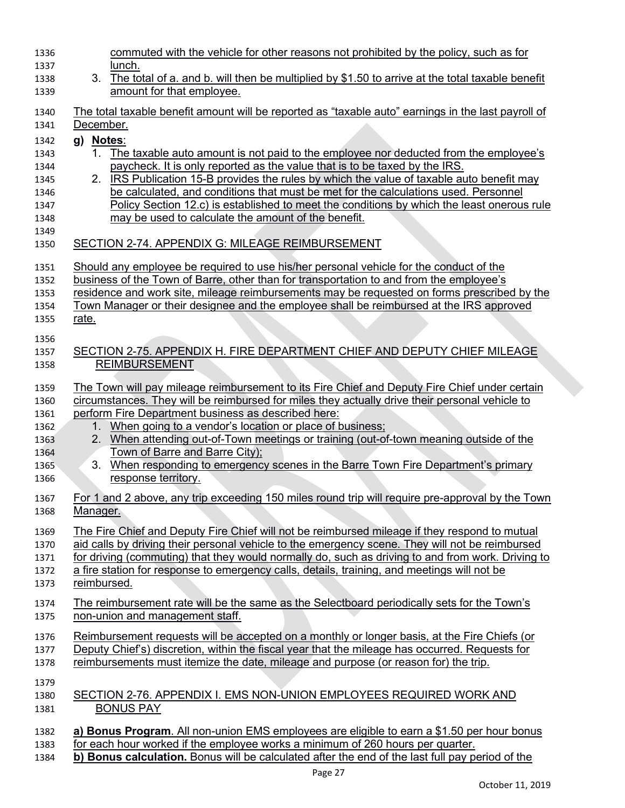| 1336 | commuted with the vehicle for other reasons not prohibited by the policy, such as for                             |
|------|-------------------------------------------------------------------------------------------------------------------|
| 1337 | lunch.                                                                                                            |
| 1338 | 3 <sub>1</sub><br>The total of a. and b. will then be multiplied by \$1.50 to arrive at the total taxable benefit |
| 1339 | amount for that employee.                                                                                         |
| 1340 | The total taxable benefit amount will be reported as "taxable auto" earnings in the last payroll of               |
| 1341 | December.                                                                                                         |
| 1342 | g) Notes:                                                                                                         |
| 1343 | The taxable auto amount is not paid to the employee nor deducted from the employee's<br>$1_{\cdot}$               |
| 1344 | paycheck. It is only reported as the value that is to be taxed by the IRS.                                        |
| 1345 | 2. IRS Publication 15-B provides the rules by which the value of taxable auto benefit may                         |
| 1346 | be calculated, and conditions that must be met for the calculations used. Personnel                               |
| 1347 | Policy Section 12.c) is established to meet the conditions by which the least onerous rule                        |
| 1348 | may be used to calculate the amount of the benefit.                                                               |
| 1349 |                                                                                                                   |
| 1350 | SECTION 2-74. APPENDIX G: MILEAGE REIMBURSEMENT                                                                   |
| 1351 | Should any employee be required to use his/her personal vehicle for the conduct of the                            |
| 1352 | <u>business of the Town of Barre, other than for transportation to and from the employee's</u>                    |
| 1353 | residence and work site, mileage reimbursements may be requested on forms prescribed by the                       |
| 1354 | Town Manager or their designee and the employee shall be reimbursed at the IRS approved                           |
| 1355 | rate.                                                                                                             |
|      |                                                                                                                   |
| 1356 |                                                                                                                   |
| 1357 | SECTION 2-75. APPENDIX H. FIRE DEPARTMENT CHIEF AND DEPUTY CHIEF MILEAGE                                          |
| 1358 | <b>REIMBURSEMENT</b>                                                                                              |
| 1359 | The Town will pay mileage reimbursement to its Fire Chief and Deputy Fire Chief under certain                     |
| 1360 | circumstances. They will be reimbursed for miles they actually drive their personal vehicle to                    |
| 1361 | perform Fire Department business as described here:                                                               |
| 1362 | 1. When going to a vendor's location or place of business;                                                        |
| 1363 | When attending out-of-Town meetings or training (out-of-town meaning outside of the<br>2.                         |
| 1364 | <u>Town of Barre and Barre City);</u>                                                                             |
| 1365 | When responding to emergency scenes in the Barre Town Fire Department's primary<br>3.                             |
| 1366 | response territory.                                                                                               |
| 1367 | For 1 and 2 above, any trip exceeding 150 miles round trip will require pre-approval by the Town                  |
| 1368 | Manager.                                                                                                          |
|      |                                                                                                                   |
| 1369 | The Fire Chief and Deputy Fire Chief will not be reimbursed mileage if they respond to mutual                     |
| 1370 | aid calls by driving their personal vehicle to the emergency scene. They will not be reimbursed                   |
| 1371 | for driving (commuting) that they would normally do, such as driving to and from work. Driving to                 |
| 1372 | a fire station for response to emergency calls, details, training, and meetings will not be                       |
| 1373 | reimbursed.                                                                                                       |
| 1374 | The reimbursement rate will be the same as the Selectboard periodically sets for the Town's                       |
| 1375 | non-union and management staff.                                                                                   |
|      |                                                                                                                   |
| 1376 | Reimbursement requests will be accepted on a monthly or longer basis, at the Fire Chiefs (or                      |
| 1377 | Deputy Chief's) discretion, within the fiscal year that the mileage has occurred. Requests for                    |
| 1378 | reimbursements must itemize the date, mileage and purpose (or reason for) the trip.                               |
| 1379 |                                                                                                                   |
| 1380 | SECTION 2-76. APPENDIX I. EMS NON-UNION EMPLOYEES REQUIRED WORK AND                                               |
| 1381 | <b>BONUS PAY</b>                                                                                                  |
|      |                                                                                                                   |
| 1382 | a) Bonus Program. All non-union EMS employees are eligible to earn a \$1.50 per hour bonus                        |
| 1383 | for each hour worked if the employee works a minimum of 260 hours per quarter.                                    |
| 1384 | b) Bonus calculation. Bonus will be calculated after the end of the last full pay period of the                   |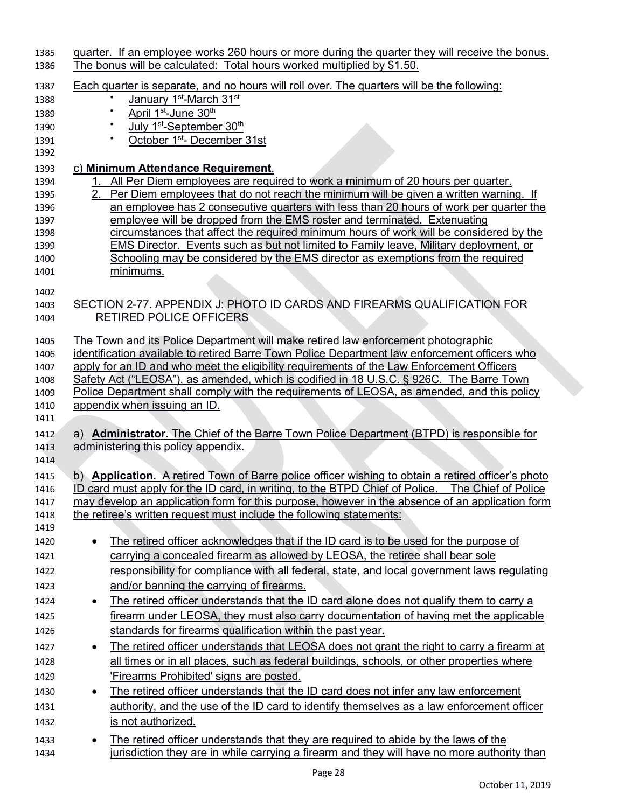| 1385<br>1386 | <u>quarter. If an employee works 260 hours or more during the quarter they will receive the bonus.</u><br>The bonus will be calculated: Total hours worked multiplied by \$1.50.                    |
|--------------|-----------------------------------------------------------------------------------------------------------------------------------------------------------------------------------------------------|
|              |                                                                                                                                                                                                     |
| 1387         | Each quarter is separate, and no hours will roll over. The quarters will be the following:                                                                                                          |
| 1388         | January 1 <sup>st</sup> -March 31 <sup>st</sup>                                                                                                                                                     |
| 1389         | April 1 <sup>st</sup> -June 30 <sup>th</sup>                                                                                                                                                        |
| 1390         | July 1 <sup>st</sup> -September 30 <sup>th</sup>                                                                                                                                                    |
| 1391         | October 1 <sup>st</sup> - December 31st                                                                                                                                                             |
| 1392         |                                                                                                                                                                                                     |
| 1393         | c) Minimum Attendance Requirement.                                                                                                                                                                  |
| 1394         | All Per Diem employees are required to work a minimum of 20 hours per quarter.                                                                                                                      |
| 1395         | Per Diem employees that do not reach the minimum will be given a written warning. If                                                                                                                |
| 1396         | an employee has 2 consecutive quarters with less than 20 hours of work per quarter the<br>employee will be dropped from the EMS roster and terminated. Extenuating                                  |
| 1397<br>1398 | circumstances that affect the required minimum hours of work will be considered by the                                                                                                              |
| 1399         | <b>EMS Director.</b> Events such as but not limited to Family leave, Military deployment, or                                                                                                        |
| 1400         | Schooling may be considered by the EMS director as exemptions from the required                                                                                                                     |
| 1401         | minimums.                                                                                                                                                                                           |
|              |                                                                                                                                                                                                     |
| 1402         |                                                                                                                                                                                                     |
| 1403         | SECTION 2-77. APPENDIX J: PHOTO ID CARDS AND FIREARMS QUALIFICATION FOR                                                                                                                             |
| 1404         | RETIRED POLICE OFFICERS                                                                                                                                                                             |
| 1405         | The Town and its Police Department will make retired law enforcement photographic                                                                                                                   |
| 1406         | identification available to retired Barre Town Police Department law enforcement officers who                                                                                                       |
| 1407         | apply for an ID and who meet the eligibility requirements of the Law Enforcement Officers                                                                                                           |
| 1408         | Safety Act ("LEOSA"), as amended, which is codified in 18 U.S.C. § 926C. The Barre Town                                                                                                             |
| 1409         | Police Department shall comply with the requirements of LEOSA, as amended, and this policy                                                                                                          |
| 1410         | appendix when issuing an ID.                                                                                                                                                                        |
| 1411         |                                                                                                                                                                                                     |
| 1412         | a) Administrator. The Chief of the Barre Town Police Department (BTPD) is responsible for                                                                                                           |
| 1413         | administering this policy appendix.                                                                                                                                                                 |
| 1414         |                                                                                                                                                                                                     |
| 1415         | b) Application. A retired Town of Barre police officer wishing to obtain a retired officer's photo                                                                                                  |
| 1416         | ID card must apply for the ID card, in writing, to the BTPD Chief of Police. The Chief of Police<br>may develop an application form for this purpose, however in the absence of an application form |
| 1417<br>1418 | the retiree's written request must include the following statements:                                                                                                                                |
| 1419         |                                                                                                                                                                                                     |
| 1420         | The retired officer acknowledges that if the ID card is to be used for the purpose of                                                                                                               |
| 1421         | carrying a concealed firearm as allowed by LEOSA, the retiree shall bear sole                                                                                                                       |
| 1422         | responsibility for compliance with all federal, state, and local government laws regulating                                                                                                         |
| 1423         | and/or banning the carrying of firearms.                                                                                                                                                            |
|              |                                                                                                                                                                                                     |
| 1424         | The retired officer understands that the ID card alone does not qualify them to carry a<br>$\bullet$                                                                                                |
| 1425         | firearm under LEOSA, they must also carry documentation of having met the applicable                                                                                                                |
| 1426         | standards for firearms qualification within the past year.                                                                                                                                          |
| 1427         | The retired officer understands that LEOSA does not grant the right to carry a firearm at<br>$\bullet$                                                                                              |
| 1428         | all times or in all places, such as federal buildings, schools, or other properties where                                                                                                           |
| 1429         | 'Firearms Prohibited' signs are posted.                                                                                                                                                             |
| 1430         | The retired officer understands that the ID card does not infer any law enforcement<br>$\bullet$                                                                                                    |
| 1431         | authority, and the use of the ID card to identify themselves as a law enforcement officer                                                                                                           |
| 1432         | is not authorized.                                                                                                                                                                                  |
| 1433         | The retired officer understands that they are required to abide by the laws of the<br>$\bullet$                                                                                                     |
| 1434         | jurisdiction they are in while carrying a firearm and they will have no more authority than                                                                                                         |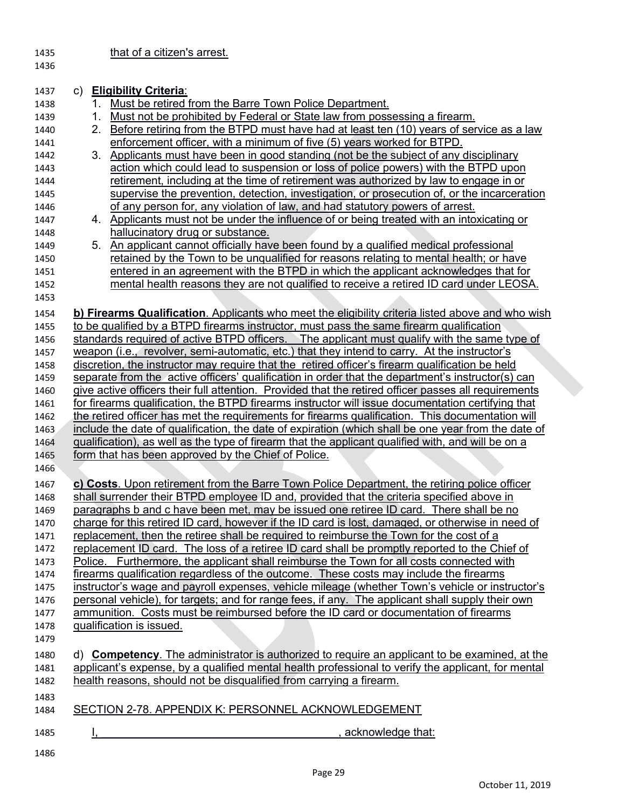1435 **that of a citizen's arrest.** 

1436

| 1437 | c) Eligibility Criteria:                                                                               |
|------|--------------------------------------------------------------------------------------------------------|
| 1438 | Must be retired from the Barre Town Police Department.                                                 |
| 1439 | Must not be prohibited by Federal or State law from possessing a firearm.<br>1.                        |
| 1440 | Before retiring from the BTPD must have had at least ten (10) years of service as a law<br>$2_{\cdot}$ |
| 1441 | enforcement officer, with a minimum of five (5) years worked for BTPD.                                 |
| 1442 | 3. Applicants must have been in good standing (not be the subject of any disciplinary                  |
| 1443 | action which could lead to suspension or loss of police powers) with the BTPD upon                     |
| 1444 | retirement, including at the time of retirement was authorized by law to engage in or                  |
| 1445 | supervise the prevention, detection, investigation, or prosecution of, or the incarceration            |
| 1446 | of any person for, any violation of law, and had statutory powers of arrest.                           |
| 1447 | 4. Applicants must not be under the influence of or being treated with an intoxicating or              |
| 1448 | hallucinatory drug or substance.                                                                       |
| 1449 | 5. An applicant cannot officially have been found by a qualified medical professional                  |
| 1450 | retained by the Town to be unqualified for reasons relating to mental health; or have                  |
| 1451 | entered in an agreement with the BTPD in which the applicant acknowledges that for                     |
| 1452 | mental health reasons they are not qualified to receive a retired ID card under LEOSA.                 |
| 1453 |                                                                                                        |
| 1454 | b) Firearms Qualification. Applicants who meet the eligibility criteria listed above and who wish      |
| 1455 | to be qualified by a BTPD firearms instructor, must pass the same firearm qualification                |
| 1456 | standards required of active BTPD officers. The applicant must qualify with the same type of           |
| 1457 | weapon (i.e., revolver, semi-automatic, etc.) that they intend to carry. At the instructor's           |
| 1458 | discretion, the instructor may require that the retired officer's firearm qualification be held        |
| 1459 | separate from the active officers' qualification in order that the department's instructor(s) can      |
| 1460 | give active officers their full attention. Provided that the retired officer passes all requirements   |
| 1461 | for firearms qualification, the BTPD firearms instructor will issue documentation certifying that      |
| 1462 | the retired officer has met the requirements for firearms qualification. This documentation will       |
| 1463 | include the date of qualification, the date of expiration (which shall be one year from the date of    |
| 1464 | qualification), as well as the type of firearm that the applicant qualified with, and will be on a     |
| 1465 | form that has been approved by the Chief of Police.                                                    |
| 1466 |                                                                                                        |
| 1467 | c) Costs. Upon retirement from the Barre Town Police Department, the retiring police officer           |
| 1468 | shall surrender their BTPD employee ID and, provided that the criteria specified above in              |
| 1469 | paragraphs b and c have been met, may be issued one retiree ID card. There shall be no                 |
| 1470 | charge for this retired ID card, however if the ID card is lost, damaged, or otherwise in need of      |
| 1471 | replacement, then the retiree shall be required to reimburse the Town for the cost of a                |
| 1472 | replacement ID card. The loss of a retiree ID card shall be promptly reported to the Chief of          |
| 1473 | Police. Furthermore, the applicant shall reimburse the Town for all costs connected with               |
| 1474 | firearms qualification regardless of the outcome. These costs may include the firearms                 |
| 1475 | instructor's wage and payroll expenses, vehicle mileage (whether Town's vehicle or instructor's        |
| 1476 | personal vehicle), for targets; and for range fees, if any. The applicant shall supply their own       |
| 1477 | ammunition. Costs must be reimbursed before the ID card or documentation of firearms                   |
| 1478 | qualification is issued.                                                                               |
| 1479 |                                                                                                        |
| 1480 | d) Competency. The administrator is authorized to require an applicant to be examined, at the          |
| 1481 | applicant's expense, by a qualified mental health professional to verify the applicant, for mental     |
| 1482 | health reasons, should not be disqualified from carrying a firearm.                                    |
| 1483 |                                                                                                        |
| 1484 | SECTION 2-78. APPENDIX K: PERSONNEL ACKNOWLEDGEMENT                                                    |
|      |                                                                                                        |
| 1485 | acknowledge that:                                                                                      |

1486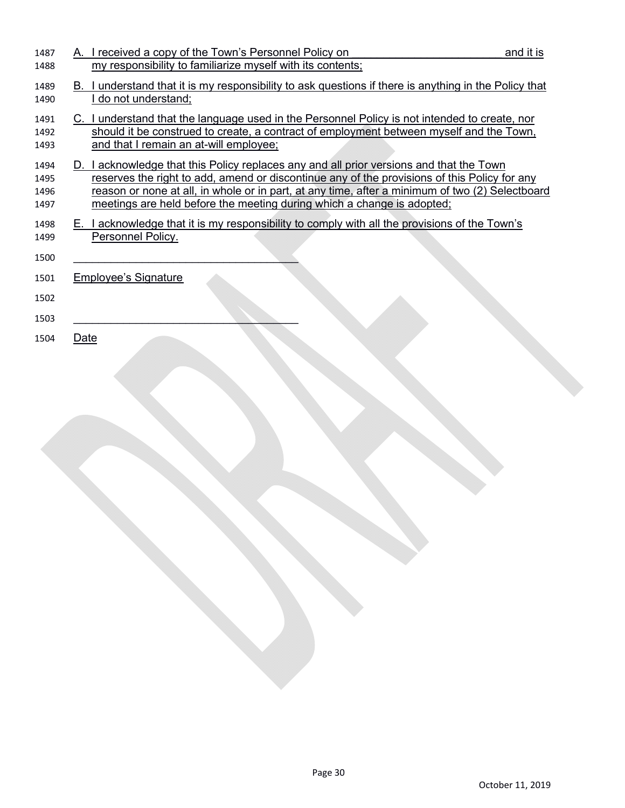| 1487         | A. I received a copy of the Town's Personnel Policy on<br>and it is                                                                                                                     |  |
|--------------|-----------------------------------------------------------------------------------------------------------------------------------------------------------------------------------------|--|
| 1488         | my responsibility to familiarize myself with its contents;                                                                                                                              |  |
| 1489         | I understand that it is my responsibility to ask questions if there is anything in the Policy that<br>В.                                                                                |  |
| 1490         | do not understand;                                                                                                                                                                      |  |
| 1491         | C. I understand that the language used in the Personnel Policy is not intended to create, nor                                                                                           |  |
| 1492         | should it be construed to create, a contract of employment between myself and the Town,<br>and that I remain an at-will employee;                                                       |  |
| 1493         |                                                                                                                                                                                         |  |
| 1494<br>1495 | D. I acknowledge that this Policy replaces any and all prior versions and that the Town<br>reserves the right to add, amend or discontinue any of the provisions of this Policy for any |  |
| 1496         | reason or none at all, in whole or in part, at any time, after a minimum of two (2) Selectboard                                                                                         |  |
| 1497         | meetings are held before the meeting during which a change is adopted;                                                                                                                  |  |
| 1498         | E. I acknowledge that it is my responsibility to comply with all the provisions of the Town's                                                                                           |  |
| 1499         | Personnel Policy.                                                                                                                                                                       |  |
| 1500         |                                                                                                                                                                                         |  |
| 1501         | <b>Employee's Signature</b>                                                                                                                                                             |  |
| 1502         |                                                                                                                                                                                         |  |
| 1503         |                                                                                                                                                                                         |  |
| 1504         | Date                                                                                                                                                                                    |  |
|              |                                                                                                                                                                                         |  |